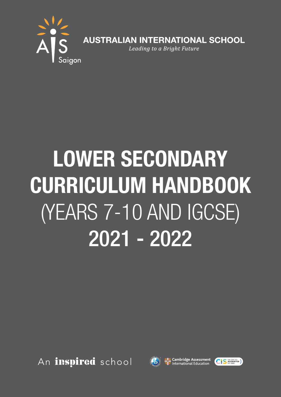

**AUSTRALIAN INTERNATIONAL SCHOOL** 

Leading to a Bright Future

# LOWER SECONDARY CURRICULUM HANDBOOK (YEARS 7-10 AND IGCSE) 2021 - 2022

An inspired school



Cambridge Assessment<br>International Education

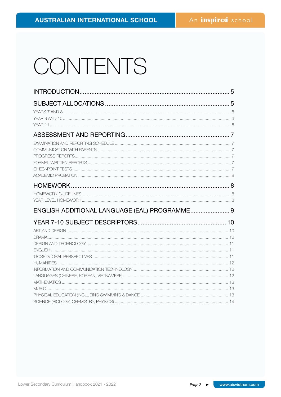# CONTENTS

| ENGLISH ADDITIONAL LANGUAGE (EAL) PROGRAMME 9 |  |
|-----------------------------------------------|--|
|                                               |  |
|                                               |  |
|                                               |  |
|                                               |  |
|                                               |  |
|                                               |  |
|                                               |  |
|                                               |  |
|                                               |  |
|                                               |  |
|                                               |  |
|                                               |  |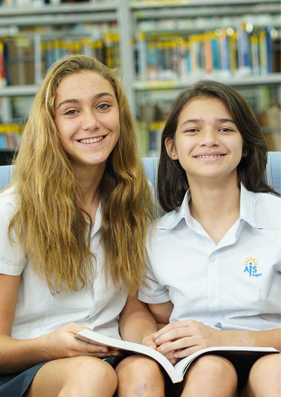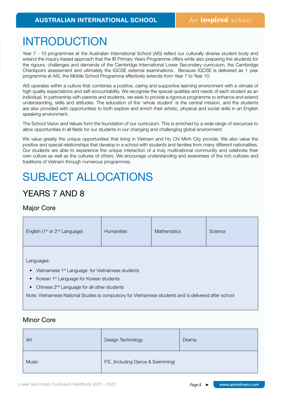# <span id="page-4-0"></span>INTRODUCTION

Year 7 - 10 programmes at the Australian International School (AIS) reflect our culturally diverse student body and extend the inquiry-based approach that the IB Primary Years Programme offers while also preparing the students for the rigours, challenges and demands of the Cambridge International Lower Secondary curriculum, the Cambridge Checkpoint assessment and ultimately the IGCSE external examinations. Because IGCSE is delivered as 1 year programme at AIS, the Middle School Programme effectively extends from Year 7 to Year 10.

AIS operates within a culture that combines a positive, caring and supportive learning environment with a climate of high quality expectations and self-accountability. We recognise the special qualities and needs of each student as an individual. In partnership with parents and students, we seek to provide a rigorous programme to enhance and extend understanding, skills and attitudes. The education of the 'whole student' is the central mission, and the students are also provided with opportunities to both explore and enrich their artistic, physical and social skills in an English speaking environment.

The School Vision and Values form the foundation of our curriculum. This is enriched by a wide range of resources to allow opportunities in all fields for our students in our changing and challenging global environment.

We value greatly the unique opportunities that living in Vietnam and Ho Chi Minh City provide. We also value the positive and special relationships that develop in a school with students and families from many different nationalities. Our students are able to experience the unique interaction of a truly multinational community and celebrate their own culture as well as the cultures of others. We encourage understanding and awareness of the rich cultures and traditions of Vietnam through numerous programmes.

# SUBJECT ALLOCATIONS

### YEARS 7 AND 8

#### Major Core

| English (1 <sup>st</sup> or 2 <sup>nd</sup> Language)                                                 | <b>Humanities</b> | <b>Mathematics</b> | Science |  |
|-------------------------------------------------------------------------------------------------------|-------------------|--------------------|---------|--|
| Languages:<br>Vietnamese 1 <sup>st</sup> Language for Vietnamese students<br>$\bullet$                |                   |                    |         |  |
| Korean 1 <sup>st</sup> Language for Korean students<br>$\bullet$                                      |                   |                    |         |  |
| Chinese 2 <sup>nd</sup> Language for all other students<br>$\bullet$                                  |                   |                    |         |  |
| Note: Vietnamese National Studies is compulsory for Vietnamese students and is delivered after school |                   |                    |         |  |

#### Minor Core

| Art          | Design Technology                 | Drama |
|--------------|-----------------------------------|-------|
| <b>Music</b> | P.E. (including Dance & Swimming) |       |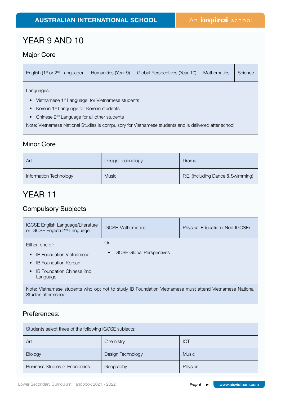### <span id="page-5-0"></span>YEAR 9 AND 10

#### Major Core

| English (1 <sup>st</sup> or 2 <sup>nd</sup> Language)                                                 | Humanities (Year 9) | Global Perspectives (Year 10) | <b>Mathematics</b> | <b>Science</b> |
|-------------------------------------------------------------------------------------------------------|---------------------|-------------------------------|--------------------|----------------|
| Languages:                                                                                            |                     |                               |                    |                |
| Vietnamese 1 <sup>st</sup> Language for Vietnamese students<br>$\bullet$                              |                     |                               |                    |                |
| Korean 1 <sup>st</sup> Language for Korean students<br>$\bullet$                                      |                     |                               |                    |                |
| Chinese 2 <sup>nd</sup> Language for all other students<br>$\bullet$                                  |                     |                               |                    |                |
| Note: Vietnamese National Studies is compulsory for Vietnamese students and is delivered after school |                     |                               |                    |                |
|                                                                                                       |                     |                               |                    |                |

#### Minor Core

| Art                    | Design Technology | Drama                             |
|------------------------|-------------------|-----------------------------------|
| Information Technology | <b>Music</b>      | P.E. (including Dance & Swimming) |

### YEAR 11

#### Compulsory Subjects

| IGCSE English Language/Literature<br>or IGCSE English 2 <sup>nd</sup> Language | <b>IGCSE Mathematics</b>                                                                                | Physical Education (Non-IGCSE) |
|--------------------------------------------------------------------------------|---------------------------------------------------------------------------------------------------------|--------------------------------|
| Either, one of:                                                                | Or:                                                                                                     |                                |
| <b>IB Foundation Vietnamese</b><br>$\bullet$                                   | <b>IGCSE Global Perspectives</b><br>$\bullet$                                                           |                                |
| <b>IB Foundation Korean</b><br>$\bullet$                                       |                                                                                                         |                                |
| <b>IB Foundation Chinese 2nd</b><br>$\bullet$<br>Language                      |                                                                                                         |                                |
| Studies after school.                                                          | Note: Vietnamese students who opt not to study IB Foundation Vietnamese must attend Vietnamese National |                                |

#### Preferences:

| Students select three of the following IGCSE subjects: |                   |              |
|--------------------------------------------------------|-------------------|--------------|
| <b>ICT</b><br>Chemistry<br>Art                         |                   |              |
| Biology                                                | Design Technology | <b>Music</b> |
| Business Studies or Economics<br>Physics<br>Geography  |                   |              |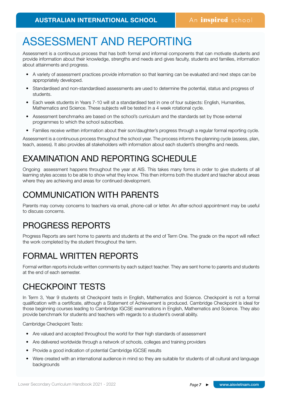# <span id="page-6-0"></span>ASSESSMENT AND REPORTING

Assessment is a continuous process that has both formal and informal components that can motivate students and provide information about their knowledge, strengths and needs and gives faculty, students and families, information about attainments and progress.

- A variety of assessment practices provide information so that learning can be evaluated and next steps can be appropriately developed.
- Standardised and non-standardised assessments are used to determine the potential, status and progress of students.
- Each week students in Years 7-10 will sit a standardised test in one of four subjects: English, Humanities, Mathematics and Science. These subjects will be tested in a 4 week rotational cycle.
- Assessment benchmarks are based on the school's curriculum and the standards set by those external programmes to which the school subscribes.
- Families receive written information about their son/daughter's progress through a regular formal reporting cycle.

Assessment is a continuous process throughout the school year. The process informs the planning cycle (assess, plan, teach, assess). It also provides all stakeholders with information about each student's strengths and needs.

### EXAMINATION AND REPORTING SCHEDULE

Ongoing assessment happens throughout the year at AIS. This takes many forms in order to give students of all learning styles access to be able to show what they know. This then informs both the student and teacher about areas where they are achieving and areas for continued development.

### COMMUNICATION WITH PARENTS

Parents may convey concerns to teachers via email, phone-call or letter. An after-school appointment may be useful to discuss concerns.

### PROGRESS REPORTS

Progress Reports are sent home to parents and students at the end of Term One. The grade on the report will reflect the work completed by the student throughout the term.

### FORMAL WRITTEN REPORTS

Formal written reports include written comments by each subject teacher. They are sent home to parents and students at the end of each semester.

### CHECKPOINT TESTS

In Term 3, Year 9 students sit Checkpoint tests in English, Mathematics and Science. Checkpoint is not a formal qualification with a certificate, although a Statement of Achievement is produced. Cambridge Checkpoint is ideal for those beginning courses leading to Cambridge IGCSE examinations in English, Mathematics and Science. They also provide benchmark for students and teachers with regards to a student's overall ability.

Cambridge Checkpoint Tests:

- Are valued and accepted throughout the world for their high standards of assessment
- Are delivered worldwide through a network of schools, colleges and training providers
- Provide a good indication of potential Cambridge IGCSE results
- Were created with an international audience in mind so they are suitable for students of all cultural and language backgrounds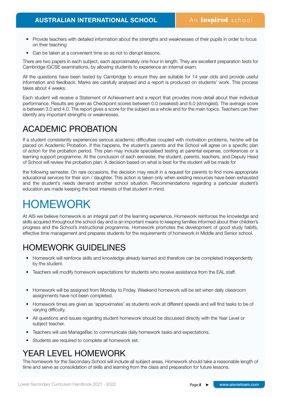- <span id="page-7-0"></span>• Provide teachers with detailed information about the strengths and weaknesses of their pupils in order to focus on their teaching
- Can be taken at a convenient time so as not to disrupt lessons.

There are two papers in each subject, each approximately one hour in length. They are excellent preparation tests for Cambridge IGCSE examinations, by allowing students to experience an internal exam.

All the questions have been tested by Cambridge to ensure they are suitable for 14 year olds and provide useful information and feedback. Marks are carefully analysed and a report is produced on students' work. This process takes about 4 weeks.

Each student will receive a Statement of Achievement and a report that provides more detail about their individual performance. Results are given as Checkpoint scores between 0.0 (weakest) and 6.0 (strongest). The average score is between 3.0 and 4.0. The report gives a score for the subject as a whole and for the main topics. Teachers can then identify any important strengths or weaknesses.

### ACADEMIC PROBATION

If a student consistently experiences serious academic difficulties coupled with motivation problems, he/she will be placed on Academic Probation. If this happens, the student's parents and the School will agree on a specific plan of action for the probation period. This plan may include specialised testing at parental expense, conferences or a learning support programme. At the conclusion of each semester, the student, parents, teachers, and Deputy Head of School will review the probation plan. A decision based on what is best for the student will be made for

the following semester. On rare occasions, the decision may result in a request for parents to find more appropriate educational services for their son / daughter. This action is taken only when existing resources have been exhausted and the student's needs demand another school situation. Recommendations regarding a particular student's education are made keeping the best interests of that student in mind.

# HOMEWORK

At AIS we believe homework is an integral part of the learning experience. Homework reinforces the knowledge and skills acquired throughout the school day and is an important means to keeping families informed about their children's progress and the School's instructional programme. Homework promotes the development of good study habits, effective time management and prepares students for the requirements of homework in Middle and Senior school.

### HOMEWORK GUIDELINES

- Homework will reinforce skills and knowledge already learned and therefore can be completed independently by the student.
- Teachers will modify homework expectations for students who receive assistance from the EAL staff.
- Homework will be assigned from Monday to Friday. Weekend homework will be set when daily classroom assignments have not been completed.
- Homework times are given as 'approximates' as students work at different speeds and will find tasks to be of varying difficulty.
- All questions and issues regarding student homework should be discussed directly with the Year Level or subject teacher.
- Teachers will use ManageBac to communicate daily homework tasks and expectations.
- Students are required to complete all homework set.

### YEAR LEVEL HOMEWORK

The homework for the Secondary School will include all subject areas. Homework should take a reasonable length of time and serve as consolidation of skills and learning from the class and preparation for future lessons.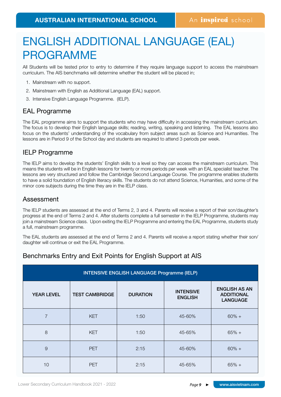# <span id="page-8-0"></span>ENGLISH ADDITIONAL LANGUAGE (EAL) PROGRAMME

All Students will be tested prior to entry to determine if they require language support to access the mainstream curriculum. The AIS benchmarks will determine whether the student will be placed in;

- 1. Mainstream with no support.
- 2. Mainstream with English as Additional Language (EAL) support.
- 3. Intensive English Language Programme. (IELP).

#### EAL Programme

The EAL programme aims to support the students who may have difficulty in accessing the mainstream curriculum. The focus is to develop their English language skills; reading, writing, speaking and listening. The EAL lessons also focus on the students' understanding of the vocabulary from subject areas such as Science and Humanities. The lessons are in Period 9 of the School day and students are required to attend 3 periods per week.

#### IELP Programme

The IELP aims to develop the students' English skills to a level so they can access the mainstream curriculum. This means the students will be in English lessons for twenty or more periods per week with an EAL specialist teacher. The lessons are very structured and follow the Cambridge Second Language Course. The programme enables students to have a solid foundation of English literacy skills. The students do not attend Science, Humanities, and some of the minor core subjects during the time they are in the IELP class.

#### Assessment

The IELP students are assessed at the end of Terms 2, 3 and 4. Parents will receive a report of their son/daughter's progress at the end of Terms 2 and 4. After students complete a full semester in the IELP Programme, students may join a mainstream Science class. Upon exiting the IELP Programme and entering the EAL Programme, students study a full, mainstream programme.

The EAL students are assessed at the end of Terms 2 and 4. Parents will receive a report stating whether their son/ daughter will continue or exit the EAL Programme.

| <b>INTENSIVE ENGLISH LANGUAGE Programme (IELP)</b> |                       |                 |                                    |                                                              |
|----------------------------------------------------|-----------------------|-----------------|------------------------------------|--------------------------------------------------------------|
| <b>YEAR LEVEL</b>                                  | <b>TEST CAMBRIDGE</b> | <b>DURATION</b> | <b>INTENSIVE</b><br><b>ENGLISH</b> | <b>ENGLISH AS AN</b><br><b>ADDITIONAL</b><br><b>LANGUAGE</b> |
| $\overline{7}$                                     | <b>KET</b>            | 1:50            | 45-60%                             | $60\% +$                                                     |
| 8                                                  | <b>KET</b>            | 1:50            | 45-65%                             | $65\% +$                                                     |
| 9                                                  | <b>PET</b>            | 2:15            | 45-60%                             | $60\% +$                                                     |
| 10                                                 | <b>PET</b>            | 2:15            | 45-65%                             | $65% +$                                                      |

#### Benchmarks Entry and Exit Points for English Support at AIS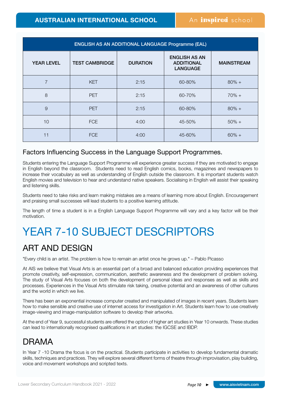<span id="page-9-0"></span>

| <b>ENGLISH AS AN ADDITIONAL LANGUAGE Programme (EAL)</b> |                       |                 |                                                              |                   |
|----------------------------------------------------------|-----------------------|-----------------|--------------------------------------------------------------|-------------------|
| <b>YEAR LEVEL</b>                                        | <b>TEST CAMBRIDGE</b> | <b>DURATION</b> | <b>ENGLISH AS AN</b><br><b>ADDITIONAL</b><br><b>LANGUAGE</b> | <b>MAINSTREAM</b> |
| 7                                                        | <b>KET</b>            | 2:15            | 60-80%                                                       | $80% +$           |
| 8                                                        | <b>PET</b>            | 2:15            | 60-70%                                                       | $70\% +$          |
| 9                                                        | <b>PET</b>            | 2:15            | 60-80%                                                       | $80\% +$          |
| 10                                                       | <b>FCE</b>            | 4:00            | 45-50%                                                       | $50\% +$          |
| 11                                                       | <b>FCE</b>            | 4:00            | 45-60%                                                       | $60\% +$          |

#### Factors Influencing Success in the Language Support Programmes.

Students entering the Language Support Programme will experience greater success if they are motivated to engage in English beyond the classroom. Students need to read English comics, books, magazines and newspapers to increase their vocabulary as well as understanding of English outside the classroom. It is important students watch English movies and television to hear and understand native speakers. Socialising in English will assist their speaking and listening skills.

Students need to take risks and learn making mistakes are a means of learning more about English. Encouragement and praising small successes will lead students to a positive learning attitude.

The length of time a student is in a English Language Support Programme will vary and a key factor will be their motivation.

# YEAR 7-10 SUBJECT DESCRIPTORS

### ART AND DESIGN

"Every child is an artist. The problem is how to remain an artist once he grows up." – Pablo Picasso

At AIS we believe that Visual Arts is an essential part of a broad and balanced education providing experiences that promote creativity, self-expression, communication, aesthetic awareness and the development of problem solving. The study of Visual Arts focuses on both the development of personal ideas and responses as well as skills and processes. Experiences in the Visual Arts stimulate risk taking, creative potential and an awareness of other cultures and the world in which we live.

There has been an exponential increase computer created and manipulated of images in recent years. Students learn how to make sensible and creative use of internet access for investigation in Art. Students learn how to use creatively image-viewing and image-manipulation software to develop their artworks.

At the end of Year 9, successful students are offered the option of higher art studies in Year 10 onwards. These studies can lead to internationally recognised qualifications in art studies: the IGCSE and IBDP.

### DRAMA

In Year 7 -10 Drama the focus is on the practical. Students participate in activities to develop fundamental dramatic skills, techniques and practices. They will explore several different forms of theatre through improvisation, play building, voice and movement workshops and scripted texts.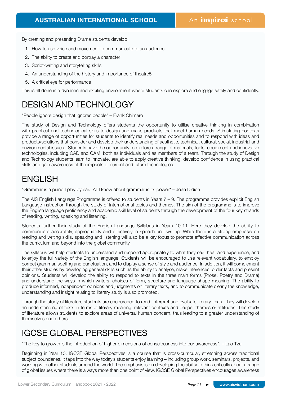<span id="page-10-0"></span>By creating and presenting Drama students develop:

- 1. How to use voice and movement to communicate to an audience
- 2. The ability to create and portray a character
- 3. Script-writing and storytelling skills
- 4. An understanding of the history and importance of theatre5
- 5. A critical eye for performance

This is all done in a dynamic and exciting environment where students can explore and engage safely and confidently.

### DESIGN AND TECHNOLOGY

"People ignore design that ignores people" – Frank Chimero

The study of Design and Technology offers students the opportunity to utilise creative thinking in combination with practical and technological skills to design and make products that meet human needs. Stimulating contexts provide a range of opportunities for students to identify real needs and opportunities and to respond with ideas and products/solutions that consider and develop their understanding of aesthetic, technical, cultural, social, industrial and environmental issues. Students have the opportunity to explore a range of materials, tools, equipment and innovative technologies, including CAD and CAM, both as individuals and as members of a team. Through the study of Design and Technology students learn to innovate, are able to apply creative thinking, develop confidence in using practical skills and gain awareness of the impacts of current and future technologies.

### ENGLISH

"Grammar is a piano I play by ear. All I know about grammar is its power" – Joan Didion

The AIS English Language Programme is offered to students in Years 7 – 9. The programme provides explicit English Language instruction through the study of International topics and themes. The aim of the programme is to improve the English language proficiency and academic skill level of students through the development of the four key strands of reading, writing, speaking and listening.

Students further their study of the English Language Syllabus in Years 10-11. Here they develop the ability to communicate accurately, appropriately and effectively in speech and writing. While there is a strong emphasis on reading and writing skills, speaking and listening will also be a key focus to promote effective communication across the curriculum and beyond into the global community.

The syllabus will help students to understand and respond appropriately to what they see, hear and experience, and to enjoy the full variety of the English language. Students will be encouraged to use relevant vocabulary, to employ correct grammar, spelling and punctuation, and to display a sense of style and audience. In addition, it will complement their other studies by developing general skills such as the ability to analyse, make inferences, order facts and present opinions. Students will develop the ability to respond to texts in the three main forms (Prose, Poetry and Drama) and understand the ways in which writers' choices of form, structure and language shape meaning. The ability to produce informed, independent opinions and judgments on literary texts, and to communicate clearly the knowledge, understanding and insight relating to literary study is also promoted.

Through the study of literature students are encouraged to read, interpret and evaluate literary texts. They will develop an understanding of texts in terms of literary meaning, relevant contexts and deeper themes or attitudes. This study of literature allows students to explore areas of universal human concern, thus leading to a greater understanding of themselves and others.

### IGCSE GLOBAL PERSPECTIVES

"The key to growth is the introduction of higher dimensions of consciousness into our awareness". – Lao Tzu

Beginning in Year 10, IGCSE Global Perspectives is a course that is cross-curricular, stretching across traditional subject boundaries. It taps into the way today's students enjoy learning – including group work, seminars, projects, and working with other students around the world. The emphasis is on developing the ability to think critically about a range of global issues where there is always more than one point of view. IGCSE Global Perspectives encourages awareness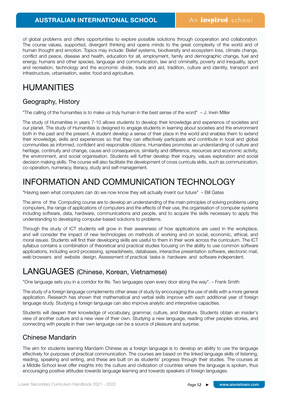#### <span id="page-11-0"></span>AUSTRALIAN INTERNATIONAL SCHOOL

of global problems and offers opportunities to explore possible solutions through cooperation and collaboration. The course values, supported, divergent thinking and opens minds to the great complexity of the world and of human thought and emotion. Topics may include: Belief systems, biodiversity and ecosystem loss, climate change, conflict and peace, disease and health, education for all, employment, family and demographic change, fuel and energy, humans and other species, language and communication, law and criminality, poverty and inequality, sport and recreation, technology and the economic divide, trade and aid, tradition, culture and identity, transport and infrastructure, urbanisation, water, food and agriculture.

### HUMANITIES

#### Geography, History

"The calling of the humanities is to make us truly human in the best sense of the word" – J. Irwin Miller

The study of Humanities in years 7-10 allows students to develop their knowledge and experience of societies and our planet. The study of Humanities is designed to engage students in learning about societies and the environment both in the past and the present. A student develop a sense of their place in the world and enables them to extend their knowledge, skills and experiences so that they can effectively participate and contribute in local and global communities as informed, confident and responsible citizens. Humanities promotes an understanding of culture and heritage, continuity and change, cause and consequence, similarity and difference, resources and economic activity, the environment, and social organisation. Students will further develop their inquiry, values exploration and social decision making skills. The course will also facilitate the development of cross curricula skills, such as communication, co-operation, numeracy, literacy, study and self-management.

### INFORMATION AND COMMUNICATION TECHNOLOGY

"Having seen what computers can do we now know they will actually invent our future" – Bill Gates

The aims of the Computing course are to develop an understanding of the main principles of solving problems using computers, the range of applications of computers and the effects of their use, the organisation of computer systems including software, data, hardware, communications and people, and to acquire the skills necessary to apply this understanding to developing computer-based solutions to problems.

Through the study of ICT students will grow in their awareness of how applications are used in the workplace, and will consider the impact of new technologies on methods of working and on social, economic, ethical, and moral issues. Students will find their developing skills are useful to them in their work across the curriculum. The ICT syllabus contains a combination of theoretical and practical studies focusing on the ability to use common software applications, including word processing, spreadsheets, databases, interactive presentation software, electronic mail, web browsers and website design. Assessment of practical tasks is hardware and software independent.

### LANGUAGES (Chinese, Korean, Vietnamese)

"One language sets you in a corridor for life. Two languages open every door along the way". – Frank Smith

The study of a foreign language complements other areas of study by encouraging the use of skills with a more general application. Research has shown that mathematical and verbal skills improve with each additional year of foreign language study. Studying a foreign language can also improve analytic and interpretive capacities.

Students will deepen their knowledge of vocabulary, grammar, culture, and literature. Students obtain an insider's view of another culture and a new view of their own. Studying a new language, reading other peoples stories, and connecting with people in their own language can be a source of pleasure and surprise.

#### Chinese Mandarin

The aim for students learning Mandarin Chinese as a foreign language is to develop an ability to use the language effectively for purposes of practical communication. The courses are based on the linked language skills of listening, reading, speaking and writing, and these are built on as students' progress through their studies. The courses at a Middle School level offer insights into the culture and civilization of countries where the language is spoken, thus encouraging positive attitudes towards language learning and towards speakers of foreign languages.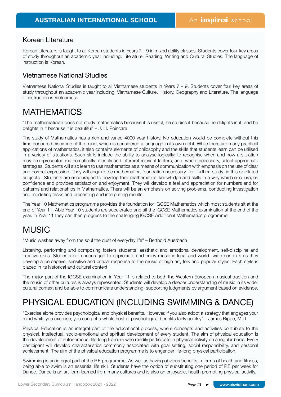#### <span id="page-12-0"></span>Korean Literature

Korean Literature is taught to all Korean students in Years 7 – 9 in mixed ability classes. Students cover four key areas of study throughout an academic year including: Literature, Reading, Writing and Cultural Studies. The language of instruction is Korean.

#### Vietnamese National Studies

Vietnamese National Studies is taught to all Vietnamese students in Years 7 – 9. Students cover four key areas of study throughout an academic year including: Vietnamese Culture, History, Geography and Literature. The language of instruction is Vietnamese.

### MATHEMATICS

"The mathematician does not study mathematics because it is useful, he studies it because he delights in it, and he delights in it because it is beautiful" – J. H. Poincare

The study of Mathematics has a rich and varied 4000 year history. No education would be complete without this time honoured discipline of the mind, which is considered a language in its own right. While there are many practical applications of mathematics, it also contains elements of philosophy and the skills that students learn can be utilised in a variety of situations. Such skills include the ability to analyse logically; to recognise when and how a situation may be represented mathematically; identify and interpret relevant factors; and, where necessary, select appropriate strategies. Students will also learn to use mathematics as a means of communication with emphasis on the use of clear and correct expression. They will acquire the mathematical foundation necessary for further study in this or related subjects. Students are encouraged to develop their mathematical knowledge and skills in a way which encourages confidence and provides satisfaction and enjoyment. They will develop a feel and appreciation for numbers and for patterns and relationships in Mathematics. There will be an emphasis on solving problems, conducting investigation and modelling tasks and presenting and interpreting results.

The Year 10 Mathematics programme provides the foundation for IGCSE Mathematics which most students sit at the end of Year 11. Able Year 10 students are accelerated and sit the IGCSE Mathematics examination at the end of the year. In Year 11 they can then progress to the challenging IGCSE Additional Mathematics programme.

### MUSIC

"Music washes away from the soul the dust of everyday life" – Berthold Auerbach

Listening, performing and composing fosters students' aesthetic and emotional development, self-discipline and creative skills. Students are encouraged to appreciate and enjoy music in local and world- wide contexts as they develop a perceptive, sensitive and critical response to the music of high art, folk and popular styles. Each style is placed in its historical and cultural context.

The major part of the IGCSE examination in Year 11 is related to both the Western European musical tradition and the music of other cultures is always represented. Students will develop a deeper understanding of music in its wider cultural context and be able to communicate understanding, supporting judgments by argument based on evidence.

### PHYSICAL EDUCATION (INCLUDING SWIMMING & DANCE)

"Exercise alone provides psychological and physical benefits. However, if you also adopt a strategy that engages your mind while you exercise, you can get a whole host of psychological benefits fairly quickly" – James Rippe, M.D.

Physical Education is an integral part of the educational process, where concepts and activities contribute to the physical, intellectual, socio-emotional and spiritual development of every student. The aim of physical education is the development of autonomous, life-long learners who readily participate in physical activity on a regular basis. Every participant will develop characteristics commonly associated with goal setting, social responsibility, and personal achievement. The aim of the physical education programme is to engender life-long physical participation.

Swimming is an integral part of the P.E programme. As well as having obvious benefits in terms of health and fitness, being able to swim is an essential life skill. Students have the option of substituting one period of P.E per week for Dance. Dance is an art form learned from many cultures and is also an enjoyable, health promoting physical activity.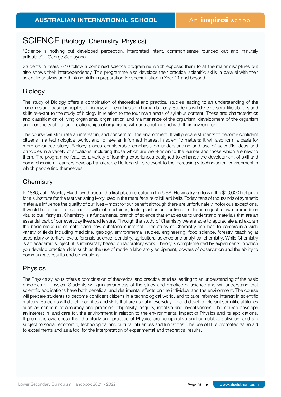#### <span id="page-13-0"></span>SCIENCE (Biology, Chemistry, Physics)

"Science is nothing but developed perception, interpreted intent, common sense rounded out and minutely articulate" – George Santayana.

Students in Years 7-10 follow a combined science programme which exposes them to all the major disciplines but also shows their interdependency. This programme also develops their practical scientific skills in parallel with their scientific analysis and thinking skills in preparation for specialization in Year 11 and beyond.

#### Biology

The study of Biology offers a combination of theoretical and practical studies leading to an understanding of the concerns and basic principles of biology, with emphasis on human biology. Students will develop scientific abilities and skills relevant to the study of biology in relation to the four main areas of syllabus content. These are: characteristics and classification of living organisms, organisation and maintenance of the organism, development of the organism and continuity of life, and relationships of organisms with one another and with their environment.

The course will stimulate an interest in, and concern for, the environment. It will prepare students to become confident citizens in a technological world, and to take an informed interest in scientific matters; it will also form a basis for more advanced study. Biology places considerable emphasis on understanding and use of scientific ideas and principles in a variety of situations, including those which are well-known to the learner and those which are new to them. The programme features a variety of learning experiences designed to enhance the development of skill and comprehension. Learners develop transferable life-long skills relevant to the increasingly technological environment in which people find themselves.

#### **Chemistry**

In 1886, John Wesley Hyatt, synthesised the first plastic created in the USA. He was trying to win the \$10,000 first prize for a substitute for the fast vanishing ivory used in the manufacture of billiard balls. Today, tens of thousands of synthetic materials influence the quality of our lives – most for our benefit although there are unfortunately, notorious exceptions. It would be difficult to imagine life without medicines, fuels, plastics and antiseptics, to name just a few commodities vital to our lifestyles. Chemistry is a fundamental branch of science that enables us to understand materials that are an essential part of our everyday lives and leisure. Through the study of Chemistry we are able to appreciate and explain the basic make-up of matter and how substances interact. The study of Chemistry can lead to careers in a wide variety of fields including medicine, geology, environmental studies, engineering, food science, forestry, teaching at secondary or tertiary levels, forensic science, dentistry, agricultural science and analytical chemistry. While Chemistry is an academic subject, it is intrinsically based on laboratory work. Theory is complemented by experiments in which you develop practical skills such as the use of modern laboratory equipment, powers of observation and the ability to communicate results and conclusions.

#### Physics

The Physics syllabus offers a combination of theoretical and practical studies leading to an understanding of the basic principles of Physics. Students will gain awareness of the study and practice of science and will understand that scientific applications have both beneficial and detrimental effects on the individual and the environment. The course will prepare students to become confident citizens in a technological world, and to take informed interest in scientific matters. Students will develop abilities and skills that are useful in everyday life and develop relevant scientific attitudes such as concern of accuracy and precision, objectivity, enquiry, initiative and inventiveness. The course develops an interest in, and care for, the environment in relation to the environmental impact of Physics and its applications. It promotes awareness that the study and practice of Physics are co-operative and cumulative activities, and are subject to social, economic, technological and cultural influences and limitations. The use of IT is promoted as an aid to experiments and as a tool for the interpretation of experimental and theoretical results.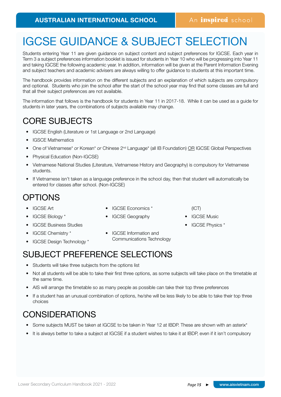# <span id="page-14-0"></span>IGCSE GUIDANCE & SUBJECT SELECTION

Students entering Year 11 are given guidance on subject content and subject preferences for IGCSE. Each year in Term 3 a subject preferences information booklet is issued for students in Year 10 who will be progressing into Year 11 and taking IGCSE the following academic year. In addition, information will be given at the Parent Information Evening and subject teachers and academic advisers are always willing to offer guidance to students at this important time.

The handbook provides information on the different subjects and an explanation of which subjects are compulsory and optional. Students who join the school after the start of the school year may find that some classes are full and that all their subject preferences are not available.

The information that follows is the handbook for students in Year 11 in 2017-18. While it can be used as a guide for students in later years, the combinations of subjects available may change.

### CORE SUBJECTS

- IGCSE English (Literature or 1st Language or 2nd Language)
- IGSCE Mathematics
- One of Vietnamese\* *or* Korean\* *or* Chinese 2nd Language\* (all IB Foundation) OR IGCSE Global Perspectives
- Physical Education (Non-IGCSE)
- Vietnamese National Studies (Literature, Vietnamese History and Geography) is compulsory for Vietnamese students.
- If Vietnamese isn't taken as a language preference in the school day, then that student will automatically be entered for classes after school. (Non-IGCSE)

### **OPTIONS**

• IGCSE Art

- IGCSE Economics \* • IGCSE Geography
- (ICT)
- **IGCSE Music**
- IGCSE Physics \*

• IGCSE Chemistry \*

• IGCSE Biology \*

• IGCSE Design Technology \*

• IGCSE Business Studies

• IGCSE Information and Communications Technology

### SUBJECT PREFERENCE SELECTIONS

- Students will take three subjects from the options list
- Not all students will be able to take their first three options, as some subjects will take place on the timetable at the same time.
- AIS will arrange the timetable so as many people as possible can take their top three preferences
- If a student has an unusual combination of options, he/she will be less likely to be able to take their top three choices

### CONSIDERATIONS

- Some subjects MUST be taken at IGCSE to be taken in Year 12 at IBDP. These are shown with an asterix\*
- It is always better to take a subject at IGCSE if a student wishes to take it at IBDP, even if it isn't compulsory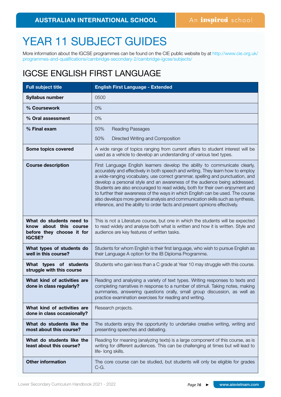# <span id="page-15-0"></span>YEAR 11 SUBJECT GUIDES

More information about the IGCSE programmes can be found on the CIE public website by at http://www.cie.org.uk/ programmes-and-qualifications/cambridge-secondary-2/cambridge-igcse/subjects/

### IGCSE ENGLISH FIRST LANGUAGE

| <b>Full subject title</b>                                                                        | <b>English First Language - Extended</b>                                                                                                                                                                                                                                                                                                                                                                                                                                                                                                                                                                                                                            |
|--------------------------------------------------------------------------------------------------|---------------------------------------------------------------------------------------------------------------------------------------------------------------------------------------------------------------------------------------------------------------------------------------------------------------------------------------------------------------------------------------------------------------------------------------------------------------------------------------------------------------------------------------------------------------------------------------------------------------------------------------------------------------------|
| <b>Syllabus number</b>                                                                           | 0500                                                                                                                                                                                                                                                                                                                                                                                                                                                                                                                                                                                                                                                                |
| % Coursework                                                                                     | 0%                                                                                                                                                                                                                                                                                                                                                                                                                                                                                                                                                                                                                                                                  |
| % Oral assessment                                                                                | 0%                                                                                                                                                                                                                                                                                                                                                                                                                                                                                                                                                                                                                                                                  |
| % Final exam                                                                                     | 50%<br><b>Reading Passages</b>                                                                                                                                                                                                                                                                                                                                                                                                                                                                                                                                                                                                                                      |
|                                                                                                  | 50%<br>Directed Writing and Composition                                                                                                                                                                                                                                                                                                                                                                                                                                                                                                                                                                                                                             |
| Some topics covered                                                                              | A wide range of topics ranging from current affairs to student interest will be<br>used as a vehicle to develop an understanding of various text types.                                                                                                                                                                                                                                                                                                                                                                                                                                                                                                             |
| <b>Course description</b>                                                                        | First Language English learners develop the ability to communicate clearly,<br>accurately and effectively in both speech and writing. They learn how to employ<br>a wide-ranging vocabulary, use correct grammar, spelling and punctuation, and<br>develop a personal style and an awareness of the audience being addressed.<br>Students are also encouraged to read widely, both for their own enjoyment and<br>to further their awareness of the ways in which English can be used. The course<br>also develops more general analysis and communication skills such as synthesis,<br>inference, and the ability to order facts and present opinions effectively. |
| What do students need to<br>know about this course<br>before they choose it for<br><b>IGCSE?</b> | This is not a Literature course, but one in which the students will be expected<br>to read widely and analyse both what is written and how it is written. Style and<br>audience are key features of written tasks.                                                                                                                                                                                                                                                                                                                                                                                                                                                  |
| What types of students do<br>well in this course?                                                | Students for whom English is their first language, who wish to pursue English as<br>their Language A option for the IB Diploma Programme.                                                                                                                                                                                                                                                                                                                                                                                                                                                                                                                           |
| What types of students<br>struggle with this course                                              | Students who gain less than a C grade at Year 10 may struggle with this course.                                                                                                                                                                                                                                                                                                                                                                                                                                                                                                                                                                                     |
| What kind of activities are<br>done in class regularly?                                          | Reading and analysing a variety of text types. Writing responses to texts and<br>completing narratives in response to a number of stimuli. Taking notes, making<br>summaries, answering questions orally, small group discussion, as well as<br>practice examination exercises for reading and writing.                                                                                                                                                                                                                                                                                                                                                             |
| What kind of activities are<br>done in class occasionally?                                       | Research projects.                                                                                                                                                                                                                                                                                                                                                                                                                                                                                                                                                                                                                                                  |
| What do students like the<br>most about this course?                                             | The students enjoy the opportunity to undertake creative writing, writing and<br>presenting speeches and debating.                                                                                                                                                                                                                                                                                                                                                                                                                                                                                                                                                  |
| What do students like the<br>least about this course?                                            | Reading for meaning (analyzing texts) is a large component of this course, as is<br>writing for different audiences. This can be challenging at times but will lead to<br>life- long skills.                                                                                                                                                                                                                                                                                                                                                                                                                                                                        |
| <b>Other information</b>                                                                         | The core course can be studied, but students will only be eligible for grades<br>C-G.                                                                                                                                                                                                                                                                                                                                                                                                                                                                                                                                                                               |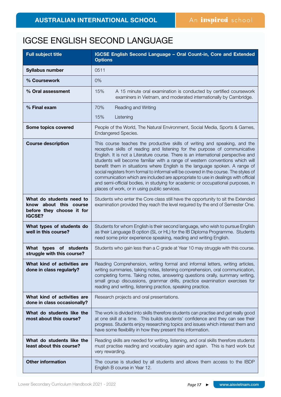### <span id="page-16-0"></span>IGCSE ENGLISH SECOND LANGUAGE

| <b>Full subject title</b>                                                                        | <b>IGCSE English Second Language - Oral Count-in, Core and Extended</b><br><b>Options</b>                                                                                                                                                                                                                                                                                                                                                                                                                                                                                                                                                                                                                                     |  |
|--------------------------------------------------------------------------------------------------|-------------------------------------------------------------------------------------------------------------------------------------------------------------------------------------------------------------------------------------------------------------------------------------------------------------------------------------------------------------------------------------------------------------------------------------------------------------------------------------------------------------------------------------------------------------------------------------------------------------------------------------------------------------------------------------------------------------------------------|--|
| <b>Syllabus number</b>                                                                           | 0511                                                                                                                                                                                                                                                                                                                                                                                                                                                                                                                                                                                                                                                                                                                          |  |
| % Coursework                                                                                     | 0%                                                                                                                                                                                                                                                                                                                                                                                                                                                                                                                                                                                                                                                                                                                            |  |
| % Oral assessment                                                                                | 15%<br>A 15 minute oral examination is conducted by certified coursework<br>examiners in Vietnam, and moderated internationally by Cambridge.                                                                                                                                                                                                                                                                                                                                                                                                                                                                                                                                                                                 |  |
| % Final exam                                                                                     | 70%<br>Reading and Writing                                                                                                                                                                                                                                                                                                                                                                                                                                                                                                                                                                                                                                                                                                    |  |
|                                                                                                  | 15%<br>Listening                                                                                                                                                                                                                                                                                                                                                                                                                                                                                                                                                                                                                                                                                                              |  |
| Some topics covered                                                                              | People of the World, The Natural Environment, Social Media, Sports & Games,<br>Endangered Species.                                                                                                                                                                                                                                                                                                                                                                                                                                                                                                                                                                                                                            |  |
| <b>Course description</b>                                                                        | This course teaches the productive skills of writing and speaking, and the<br>receptive skills of reading and listening for the purpose of communicative<br>English. It is not a Literature course. There is an international perspective and<br>students will become familiar with a range of western conventions which will<br>benefit them in situations where English is the language spoken. A range of<br>social registers from formal to informal will be covered in the course. The styles of<br>communication which are included are appropriate to use in dealings with official<br>and semi-official bodies, in studying for academic or occupational purposes, in<br>places of work, or in using public services. |  |
| What do students need to<br>know about this course<br>before they choose it for<br><b>IGCSE?</b> | Students who enter the Core class still have the opportunity to sit the Extended<br>examination provided they reach the level required by the end of Semester One.                                                                                                                                                                                                                                                                                                                                                                                                                                                                                                                                                            |  |
| What types of students do<br>well in this course?                                                | Students for whom English is their second language, who wish to pursue English<br>as their Language B option (SL or HL) for the IB Diploma Programme. Students<br>need some prior experience speaking, reading and writing English.                                                                                                                                                                                                                                                                                                                                                                                                                                                                                           |  |
| What types of students<br>struggle with this course?                                             | Students who gain less than a C grade at Year 10 may struggle with this course.                                                                                                                                                                                                                                                                                                                                                                                                                                                                                                                                                                                                                                               |  |
| What kind of activities are<br>done in class regularly?                                          | Reading Comprehension, writing formal and informal letters, writing articles,<br>writing summaries, taking notes, listening comprehension, oral communication,<br>completing forms. Taking notes, answering questions orally, summary writing,<br>small group discussions, grammar drills, practice examination exercises for<br>reading and writing, listening practice, speaking practice.                                                                                                                                                                                                                                                                                                                                  |  |
| What kind of activities are<br>done in class occasionally?                                       | Research projects and oral presentations.                                                                                                                                                                                                                                                                                                                                                                                                                                                                                                                                                                                                                                                                                     |  |
| What do students like the<br>most about this course?                                             | The work is divided into skills therefore students can practise and get really good<br>at one skill at a time. This builds students' confidence and they can see their<br>progress. Students enjoy researching topics and issues which interest them and<br>have some flexibility in how they present this information.                                                                                                                                                                                                                                                                                                                                                                                                       |  |
| What do students like the<br>least about this course?                                            | Reading skills are needed for writing, listening, and oral skills therefore students<br>must practise reading and vocabulary again and again. This is hard work but<br>very rewarding.                                                                                                                                                                                                                                                                                                                                                                                                                                                                                                                                        |  |
| <b>Other information</b>                                                                         | The course is studied by all students and allows them access to the IBDP<br>English B course in Year 12.                                                                                                                                                                                                                                                                                                                                                                                                                                                                                                                                                                                                                      |  |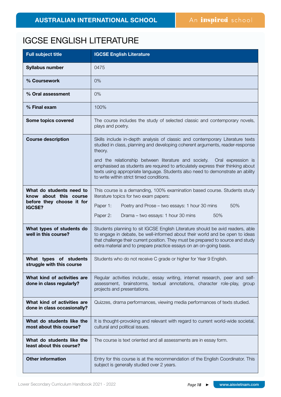### <span id="page-17-0"></span>IGCSE ENGLISH LITERATURE

| <b>Full subject title</b>                                                                        | <b>IGCSE English Literature</b>                                                                                                                                                                                                                                                                                           |
|--------------------------------------------------------------------------------------------------|---------------------------------------------------------------------------------------------------------------------------------------------------------------------------------------------------------------------------------------------------------------------------------------------------------------------------|
| <b>Syllabus number</b>                                                                           | 0475                                                                                                                                                                                                                                                                                                                      |
| % Coursework                                                                                     | $0\%$                                                                                                                                                                                                                                                                                                                     |
| % Oral assessment                                                                                | 0%                                                                                                                                                                                                                                                                                                                        |
| % Final exam                                                                                     | 100%                                                                                                                                                                                                                                                                                                                      |
| Some topics covered                                                                              | The course includes the study of selected classic and contemporary novels,<br>plays and poetry.                                                                                                                                                                                                                           |
| <b>Course description</b>                                                                        | Skills include in-depth analysis of classic and contemporary Literature texts<br>studied in class, planning and developing coherent arguments, reader-response<br>theory.                                                                                                                                                 |
|                                                                                                  | and the relationship between literature and society. Oral expression is<br>emphasised as students are required to articulately express their thinking about<br>texts using appropriate language. Students also need to demonstrate an ability<br>to write within strict timed conditions.                                 |
| What do students need to<br>know about this course<br>before they choose it for<br><b>IGCSE?</b> | This course is a demanding, 100% examination based course. Students study<br>literature topics for two exam papers:<br>50%<br>Paper 1:<br>Poetry and Prose – two essays: 1 hour 30 mins<br>Paper 2:<br>Drama - two essays: 1 hour 30 mins<br>50%                                                                          |
| What types of students do<br>well in this course?                                                | Students planning to sit IGCSE English Literature should be avid readers, able<br>to engage in debate, be well-informed about their world and be open to ideas<br>that challenge their current position. They must be prepared to source and study<br>extra material and to prepare practice essays on an on-going basis. |
| What types<br>of students<br>struggle with this course                                           | Students who do not receive C grade or higher for Year 9 English.                                                                                                                                                                                                                                                         |
| What kind of activities are<br>done in class regularly?                                          | Regular activities include:, essay writing, internet research, peer and self-<br>assessment, brainstorms, textual annotations, character role-play, group<br>projects and presentations.                                                                                                                                  |
| What kind of activities are<br>done in class occasionally?                                       | Quizzes, drama performances, viewing media performances of texts studied.                                                                                                                                                                                                                                                 |
| What do students like the<br>most about this course?                                             | It is thought-provoking and relevant with regard to current world-wide societal,<br>cultural and political issues.                                                                                                                                                                                                        |
| What do students like the<br>least about this course?                                            | The course is text oriented and all assessments are in essay form.                                                                                                                                                                                                                                                        |
| <b>Other information</b>                                                                         | Entry for this course is at the recommendation of the English Coordinator. This<br>subject is generally studied over 2 years.                                                                                                                                                                                             |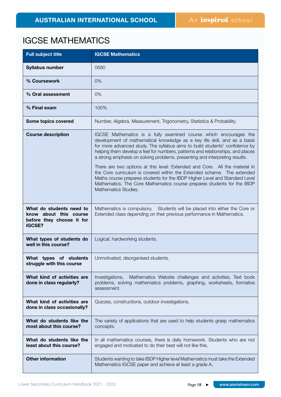### <span id="page-18-0"></span>IGCSE MATHEMATICS

| <b>Full subject title</b>                                                                        | <b>IGCSE Mathematics</b>                                                                                                                                                                                                                                                                                                                                                                                                                                                                                                                                                                                                                 |
|--------------------------------------------------------------------------------------------------|------------------------------------------------------------------------------------------------------------------------------------------------------------------------------------------------------------------------------------------------------------------------------------------------------------------------------------------------------------------------------------------------------------------------------------------------------------------------------------------------------------------------------------------------------------------------------------------------------------------------------------------|
| <b>Syllabus number</b>                                                                           | 0580                                                                                                                                                                                                                                                                                                                                                                                                                                                                                                                                                                                                                                     |
| % Coursework                                                                                     | 0%                                                                                                                                                                                                                                                                                                                                                                                                                                                                                                                                                                                                                                       |
| % Oral assessment                                                                                | 0%                                                                                                                                                                                                                                                                                                                                                                                                                                                                                                                                                                                                                                       |
| % Final exam                                                                                     | 100%                                                                                                                                                                                                                                                                                                                                                                                                                                                                                                                                                                                                                                     |
| Some topics covered                                                                              | Number, Algebra, Measurement, Trigonometry, Statistics & Probability.                                                                                                                                                                                                                                                                                                                                                                                                                                                                                                                                                                    |
| <b>Course description</b>                                                                        | IGCSE Mathematics is a fully examined course which encourages the<br>development of mathematical knowledge as a key life skill, and as a basis<br>for more advanced study. The syllabus aims to build students' confidence by<br>helping them develop a feel for numbers, patterns and relationships, and places<br>a strong emphasis on solving problems, presenting and interpreting results.<br>There are two options at this level: Extended and Core. All the material in<br>the Core curriculum is covered within the Extended scheme. The extended<br>Maths course prepares students for the IBDP Higher Level and Standard Level |
|                                                                                                  | Mathematics. The Core Mathematics course prepares students for the IBDP<br>Mathematics Studies.                                                                                                                                                                                                                                                                                                                                                                                                                                                                                                                                          |
| What do students need to<br>know about this course<br>before they choose it for<br><b>IGCSE?</b> | Mathematics is compulsory. Students will be placed into either the Core or<br>Extended class depending on their previous performance in Mathematics.                                                                                                                                                                                                                                                                                                                                                                                                                                                                                     |
| What types of students do<br>well in this course?                                                | Logical, hardworking students.                                                                                                                                                                                                                                                                                                                                                                                                                                                                                                                                                                                                           |
| What types of students<br>struggle with this course                                              | Unmotivated, disorganised students.                                                                                                                                                                                                                                                                                                                                                                                                                                                                                                                                                                                                      |
| What kind of activities are<br>done in class regularly?                                          | Investigations,<br>Mathematics Website challenges and activities, Text book<br>problems, solving mathematics problems, graphing, worksheets, formative<br>assessment.                                                                                                                                                                                                                                                                                                                                                                                                                                                                    |
| What kind of activities are<br>done in class occasionally?                                       | Quizzes, constructions, outdoor investigations.                                                                                                                                                                                                                                                                                                                                                                                                                                                                                                                                                                                          |
| What do students like the<br>most about this course?                                             | The variety of applications that are used to help students grasp mathematics<br>concepts.                                                                                                                                                                                                                                                                                                                                                                                                                                                                                                                                                |
| What do students like the<br>least about this course?                                            | In all mathematics courses, there is daily homework. Students who are not<br>engaged and motivated to do their best will not like this.                                                                                                                                                                                                                                                                                                                                                                                                                                                                                                  |
| <b>Other information</b>                                                                         | Students wanting to take IBDP Higher level Mathematics must take the Extended<br>Mathematics IGCSE paper and achieve at least a grade A.                                                                                                                                                                                                                                                                                                                                                                                                                                                                                                 |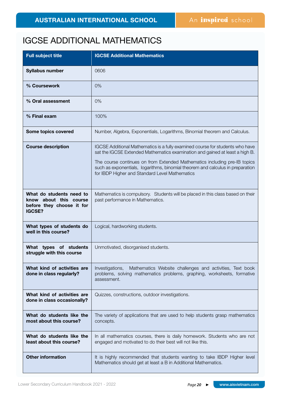### <span id="page-19-0"></span>IGCSE ADDITIONAL MATHEMATICS

| <b>Full subject title</b>                                                                 | <b>IGCSE Additional Mathematics</b>                                                                                                                                                                           |
|-------------------------------------------------------------------------------------------|---------------------------------------------------------------------------------------------------------------------------------------------------------------------------------------------------------------|
| <b>Syllabus number</b>                                                                    | 0606                                                                                                                                                                                                          |
| % Coursework                                                                              | 0%                                                                                                                                                                                                            |
| % Oral assessment                                                                         | 0%                                                                                                                                                                                                            |
| % Final exam                                                                              | 100%                                                                                                                                                                                                          |
| Some topics covered                                                                       | Number, Algebra, Exponentials, Logarithms, Binomial theorem and Calculus.                                                                                                                                     |
| <b>Course description</b>                                                                 | IGCSE Additional Mathematics is a fully examined course for students who have<br>sat the IGCSE Extended Mathematics examination and gained at least a high B.                                                 |
|                                                                                           | The course continues on from Extended Mathematics including pre-IB topics<br>such as exponentials, logarithms, binomial theorem and calculus in preparation<br>for IBDP Higher and Standard Level Mathematics |
| What do students need to<br>know about this course<br>before they choose it for<br>IGCSE? | Mathematics is compulsory. Students will be placed in this class based on their<br>past performance in Mathematics.                                                                                           |
| What types of students do<br>well in this course?                                         | Logical, hardworking students.                                                                                                                                                                                |
| What types of students<br>struggle with this course                                       | Unmotivated, disorganised students.                                                                                                                                                                           |
| What kind of activities are<br>done in class regularly?                                   | Investigations,<br>Mathematics Website challenges and activities, Text book<br>problems, solving mathematics problems, graphing, worksheets, formative<br>assessment.                                         |
| What kind of activities are<br>done in class occasionally?                                | Quizzes, constructions, outdoor investigations.                                                                                                                                                               |
| What do students like the<br>most about this course?                                      | The variety of applications that are used to help students grasp mathematics<br>concepts.                                                                                                                     |
| What do students like the<br>least about this course?                                     | In all mathematics courses, there is daily homework. Students who are not<br>engaged and motivated to do their best will not like this.                                                                       |
| <b>Other information</b>                                                                  | It is highly recommended that students wanting to take IBDP Higher level<br>Mathematics should get at least a B in Additional Mathematics.                                                                    |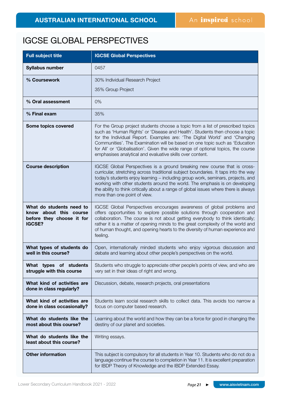### <span id="page-20-0"></span>IGCSE GLOBAL PERSPECTIVES

| <b>Full subject title</b>                                                                 | <b>IGCSE Global Perspectives</b>                                                                                                                                                                                                                                                                                                                                                                                                                                             |
|-------------------------------------------------------------------------------------------|------------------------------------------------------------------------------------------------------------------------------------------------------------------------------------------------------------------------------------------------------------------------------------------------------------------------------------------------------------------------------------------------------------------------------------------------------------------------------|
| <b>Syllabus number</b>                                                                    | 0457                                                                                                                                                                                                                                                                                                                                                                                                                                                                         |
| % Coursework                                                                              | 30% Individual Research Project<br>35% Group Project                                                                                                                                                                                                                                                                                                                                                                                                                         |
| % Oral assessment                                                                         | 0%                                                                                                                                                                                                                                                                                                                                                                                                                                                                           |
| % Final exam                                                                              | 35%                                                                                                                                                                                                                                                                                                                                                                                                                                                                          |
| Some topics covered                                                                       | For the Group project students choose a topic from a list of prescribed topics<br>such as 'Human Rights' or 'Disease and Health'. Students then choose a topic<br>for the Individual Report. Examples are: 'The Digital World' and 'Changing<br>Communities'. The Examination will be based on one topic such as 'Education<br>for All' or 'Globalisation'. Given the wide range of optional topics, the course<br>emphasises analytical and evaluative skills over content. |
| <b>Course description</b>                                                                 | IGCSE Global Perspectives is a ground breaking new course that is cross-<br>curricular, stretching across traditional subject boundaries. It taps into the way<br>today's students enjoy learning - including group work, seminars, projects, and<br>working with other students around the world. The emphasis is on developing<br>the ability to think critically about a range of global issues where there is always<br>more than one point of view.                     |
| What do students need to<br>know about this course<br>before they choose it for<br>IGCSE? | IGCSE Global Perspectives encourages awareness of global problems and<br>offers opportunities to explore possible solutions through cooperation and<br>collaboration. The course is not about getting everybody to think identically;<br>rather it is a matter of opening minds to the great complexity of the world and<br>of human thought, and opening hearts to the diversity of human experience and<br>feeling.                                                        |
| What types of students do<br>well in this course?                                         | Open, internationally minded students who enjoy vigorous discussion and<br>debate and learning about other people's perspectives on the world.                                                                                                                                                                                                                                                                                                                               |
| What types of students<br>struggle with this course                                       | Students who struggle to appreciate other people's points of view, and who are<br>very set in their ideas of right and wrong.                                                                                                                                                                                                                                                                                                                                                |
| What kind of activities are<br>done in class regularly?                                   | Discussion, debate, research projects, oral presentations                                                                                                                                                                                                                                                                                                                                                                                                                    |
| What kind of activities are<br>done in class occasionally?                                | Students learn social research skills to collect data. This avoids too narrow a<br>focus on computer based research.                                                                                                                                                                                                                                                                                                                                                         |
| What do students like the<br>most about this course?                                      | Learning about the world and how they can be a force for good in changing the<br>destiny of our planet and societies.                                                                                                                                                                                                                                                                                                                                                        |
| What do students like the<br>least about this course?                                     | Writing essays.                                                                                                                                                                                                                                                                                                                                                                                                                                                              |
| <b>Other information</b>                                                                  | This subject is compulsory for all students in Year 10. Students who do not do a<br>language continue the course to completion in Year 11. It is excellent preparation<br>for IBDP Theory of Knowledge and the IBDP Extended Essay.                                                                                                                                                                                                                                          |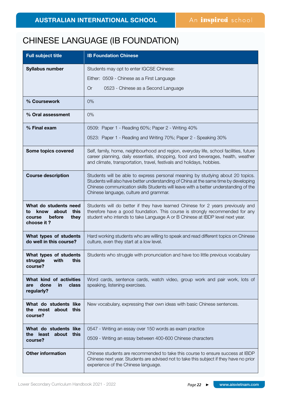### <span id="page-21-0"></span>CHINESE LANGUAGE (IB FOUNDATION)

| <b>Full subject title</b>                                                                      | <b>IB Foundation Chinese</b>                                                                                                                                                                                                                                                                            |
|------------------------------------------------------------------------------------------------|---------------------------------------------------------------------------------------------------------------------------------------------------------------------------------------------------------------------------------------------------------------------------------------------------------|
| <b>Syllabus number</b>                                                                         | Students may opt to enter IGCSE Chinese:                                                                                                                                                                                                                                                                |
|                                                                                                | Either: 0509 - Chinese as a First Language                                                                                                                                                                                                                                                              |
|                                                                                                | Or<br>0523 - Chinese as a Second Language                                                                                                                                                                                                                                                               |
| % Coursework                                                                                   | 0%                                                                                                                                                                                                                                                                                                      |
| % Oral assessment                                                                              | 0%                                                                                                                                                                                                                                                                                                      |
| % Final exam                                                                                   | 0509: Paper 1 - Reading 60%; Paper 2 - Writing 40%                                                                                                                                                                                                                                                      |
|                                                                                                | 0523: Paper 1 - Reading and Writing 70%; Paper 2 - Speaking 30%                                                                                                                                                                                                                                         |
| Some topics covered                                                                            | Self, family, home, neighbourhood and region, everyday life, school facilities, future<br>career planning, daily essentials, shopping, food and beverages, health, weather<br>and climate, transportation, travel, festivals and holidays, hobbies.                                                     |
| <b>Course description</b>                                                                      | Students will be able to express personal meaning by studying about 20 topics.<br>Students will also have better understanding of China at the same time by developing<br>Chinese communication skills Students will leave with a better understanding of the<br>Chinese language, culture and grammar. |
| What do students need<br>this<br>know<br>about<br>to<br>before<br>they<br>course<br>choose it? | Students will do better if they have learned Chinese for 2 years previously and<br>therefore have a good foundation. This course is strongly recommended for any<br>student who intends to take Language A or B Chinese at IBDP level next year.                                                        |
| What types of students<br>do well in this course?                                              | Hard working students who are willing to speak and read different topics on Chinese<br>culture, even they start at a low level.                                                                                                                                                                         |
| What types of students<br>struggle<br>with<br>this<br>course?                                  | Students who struggle with pronunciation and have too little previous vocabulary                                                                                                                                                                                                                        |
| What kind of activities<br>done<br>class<br><u>in</u><br>are<br>regularly?                     | Word cards, sentence cards, watch video, group work and pair work, lots of<br>speaking, listening exercises.                                                                                                                                                                                            |
| What do students like<br>the most about this<br>course?                                        | New vocabulary, expressing their own ideas with basic Chinese sentences.                                                                                                                                                                                                                                |
| What do students like                                                                          | 0547 - Writing an essay over 150 words as exam practice                                                                                                                                                                                                                                                 |
| the least about this<br>course?                                                                | 0509 - Writing an essay between 400-600 Chinese characters                                                                                                                                                                                                                                              |
| <b>Other information</b>                                                                       | Chinese students are recommended to take this course to ensure success at IBDP<br>Chinese next year. Students are advised not to take this subject if they have no prior<br>experience of the Chinese language.                                                                                         |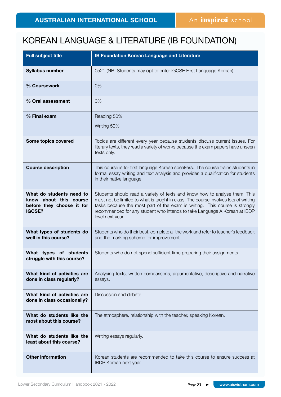### <span id="page-22-0"></span>KOREAN LANGUAGE & LITERATURE (IB FOUNDATION)

| <b>Full subject title</b>                                                                        | <b>IB Foundation Korean Language and Literature</b>                                                                                                                                                                                                                                                                                               |
|--------------------------------------------------------------------------------------------------|---------------------------------------------------------------------------------------------------------------------------------------------------------------------------------------------------------------------------------------------------------------------------------------------------------------------------------------------------|
| <b>Syllabus number</b>                                                                           | 0521 (NB: Students may opt to enter IGCSE First Language Korean).                                                                                                                                                                                                                                                                                 |
| % Coursework                                                                                     | 0%                                                                                                                                                                                                                                                                                                                                                |
| % Oral assessment                                                                                | 0%                                                                                                                                                                                                                                                                                                                                                |
| % Final exam                                                                                     | Reading 50%                                                                                                                                                                                                                                                                                                                                       |
|                                                                                                  | Writing 50%                                                                                                                                                                                                                                                                                                                                       |
| Some topics covered                                                                              | Topics are different every year because students discuss current issues. For<br>literary texts, they read a variety of works because the exam papers have unseen<br>texts only.                                                                                                                                                                   |
| <b>Course description</b>                                                                        | This course is for first language Korean speakers. The course trains students in<br>formal essay writing and text analysis and provides a qualification for students<br>in their native language.                                                                                                                                                 |
| What do students need to<br>know about this course<br>before they choose it for<br><b>IGCSE?</b> | Students should read a variety of texts and know how to analyse them. This<br>must not be limited to what is taught in class. The course involves lots of writing<br>tasks because the most part of the exam is writing. This course is strongly<br>recommended for any student who intends to take Language A Korean at IBDP<br>level next year. |
| What types of students do<br>well in this course?                                                | Students who do their best, complete all the work and refer to teacher's feedback<br>and the marking scheme for improvement                                                                                                                                                                                                                       |
| What types of students<br>struggle with this course?                                             | Students who do not spend sufficient time preparing their assignments.                                                                                                                                                                                                                                                                            |
| What kind of activities are<br>done in class regularly?                                          | Analysing texts, written comparisons, argumentative, descriptive and narrative<br>essays.                                                                                                                                                                                                                                                         |
| What kind of activities are<br>done in class occasionally?                                       | Discussion and debate.                                                                                                                                                                                                                                                                                                                            |
| What do students like the<br>most about this course?                                             | The atmosphere, relationship with the teacher, speaking Korean.                                                                                                                                                                                                                                                                                   |
| What do students like the<br>least about this course?                                            | Writing essays regularly.                                                                                                                                                                                                                                                                                                                         |
| <b>Other information</b>                                                                         | Korean students are recommended to take this course to ensure success at<br><b>IBDP Korean next year.</b>                                                                                                                                                                                                                                         |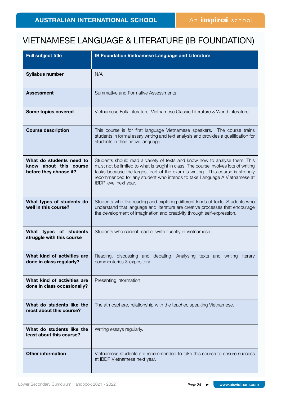### <span id="page-23-0"></span>VIETNAMESE LANGUAGE & LITERATURE (IB FOUNDATION)

| <b>Full subject title</b>                                                    | <b>IB Foundation Vietnamese Language and Literature</b>                                                                                                                                                                                                                                                                                                  |
|------------------------------------------------------------------------------|----------------------------------------------------------------------------------------------------------------------------------------------------------------------------------------------------------------------------------------------------------------------------------------------------------------------------------------------------------|
| <b>Syllabus number</b>                                                       | N/A                                                                                                                                                                                                                                                                                                                                                      |
| <b>Assessment</b>                                                            | Summative and Formative Assessments.                                                                                                                                                                                                                                                                                                                     |
| Some topics covered                                                          | Vietnamese Folk Literature, Vietnamese Classic Literature & World Literature.                                                                                                                                                                                                                                                                            |
| <b>Course description</b>                                                    | This course is for first language Vietnamese speakers. The course trains<br>students in formal essay writing and text analysis and provides a qualification for<br>students in their native language.                                                                                                                                                    |
| What do students need to<br>know about this course<br>before they choose it? | Students should read a variety of texts and know how to analyse them. This<br>must not be limited to what is taught in class. The course involves lots of writing<br>tasks because the largest part of the exam is writing. This course is strongly<br>recommended for any student who intends to take Language A Vietnamese at<br>IBDP level next year. |
| What types of students do<br>well in this course?                            | Students who like reading and exploring different kinds of texts. Students who<br>understand that language and literature are creative processes that encourage<br>the development of imagination and creativity through self-expression.                                                                                                                |
| What types of students<br>struggle with this course                          | Students who cannot read or write fluently in Vietnamese.                                                                                                                                                                                                                                                                                                |
| What kind of activities are<br>done in class regularly?                      | Reading, discussing and debating. Analysing texts and writing literary<br>commentaries & expository.                                                                                                                                                                                                                                                     |
| What kind of activities are<br>done in class occasionally?                   | Presenting information.                                                                                                                                                                                                                                                                                                                                  |
| What do students like the<br>most about this course?                         | The atmosphere, relationship with the teacher, speaking Vietnamese.                                                                                                                                                                                                                                                                                      |
| What do students like the<br>least about this course?                        | Writing essays regularly.                                                                                                                                                                                                                                                                                                                                |
| <b>Other information</b>                                                     | Vietnamese students are recommended to take this course to ensure success<br>at IBDP Vietnamese next year.                                                                                                                                                                                                                                               |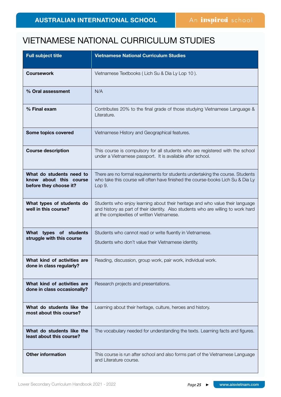### <span id="page-24-0"></span>VIETNAMESE NATIONAL CURRICULUM STUDIES

| <b>Full subject title</b>                                                    | <b>Vietnamese National Curriculum Studies</b>                                                                                                                                                                    |
|------------------------------------------------------------------------------|------------------------------------------------------------------------------------------------------------------------------------------------------------------------------------------------------------------|
| <b>Coursework</b>                                                            | Vietnamese Textbooks (Lich Su & Dia Ly Lop 10).                                                                                                                                                                  |
| % Oral assessment                                                            | N/A                                                                                                                                                                                                              |
| % Final exam                                                                 | Contributes 20% to the final grade of those studying Vietnamese Language &<br>Literature.                                                                                                                        |
| Some topics covered                                                          | Vietnamese History and Geographical features.                                                                                                                                                                    |
| <b>Course description</b>                                                    | This course is compulsory for all students who are registered with the school<br>under a Vietnamese passport. It is available after school.                                                                      |
| What do students need to<br>know about this course<br>before they choose it? | There are no formal requirements for students undertaking the course. Students<br>who take this course will often have finished the course-books Lich Su & Dia Ly<br>Lop 9.                                      |
| What types of students do<br>well in this course?                            | Students who enjoy learning about their heritage and who value their language<br>and history as part of their identity. Also students who are willing to work hard<br>at the complexities of written Vietnamese. |
| What types of students<br>struggle with this course                          | Students who cannot read or write fluently in Vietnamese.<br>Students who don't value their Vietnamese identity.                                                                                                 |
| What kind of activities are<br>done in class regularly?                      | Reading, discussion, group work, pair work, individual work.                                                                                                                                                     |
| What kind of activities are<br>done in class occasionally?                   | Research projects and presentations.                                                                                                                                                                             |
| What do students like the<br>most about this course?                         | Learning about their heritage, culture, heroes and history.                                                                                                                                                      |
| What do students like the<br>least about this course?                        | The vocabulary needed for understanding the texts. Learning facts and figures.                                                                                                                                   |
| <b>Other information</b>                                                     | This course is run after school and also forms part of the Vietnamese Language<br>and Literature course.                                                                                                         |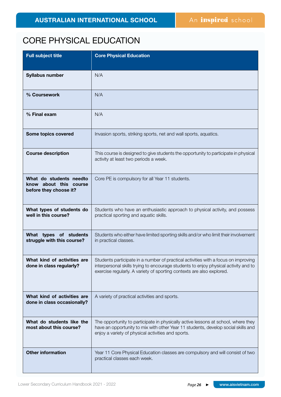### <span id="page-25-0"></span>CORE PHYSICAL EDUCATION

| <b>Full subject title</b>                                                   | <b>Core Physical Education</b>                                                                                                                                                                                                                     |
|-----------------------------------------------------------------------------|----------------------------------------------------------------------------------------------------------------------------------------------------------------------------------------------------------------------------------------------------|
| <b>Syllabus number</b>                                                      | N/A                                                                                                                                                                                                                                                |
| % Coursework                                                                | N/A                                                                                                                                                                                                                                                |
| % Final exam                                                                | N/A                                                                                                                                                                                                                                                |
| Some topics covered                                                         | Invasion sports, striking sports, net and wall sports, aquatics.                                                                                                                                                                                   |
| <b>Course description</b>                                                   | This course is designed to give students the opportunity to participate in physical<br>activity at least two periods a week.                                                                                                                       |
| What do students needto<br>know about this course<br>before they choose it? | Core PE is compulsory for all Year 11 students.                                                                                                                                                                                                    |
| What types of students do<br>well in this course?                           | Students who have an enthusiastic approach to physical activity, and possess<br>practical sporting and aquatic skills.                                                                                                                             |
| What types of students<br>struggle with this course?                        | Students who either have limited sporting skills and/or who limit their involvement<br>in practical classes.                                                                                                                                       |
| What kind of activities are<br>done in class regularly?                     | Students participate in a number of practical activities with a focus on improving<br>interpersonal skills trying to encourage students to enjoy physical activity and to<br>exercise regularly. A variety of sporting contexts are also explored. |
| What kind of activities are<br>done in class occasionally?                  | A variety of practical activities and sports.                                                                                                                                                                                                      |
| What do students like the<br>most about this course?                        | The opportunity to participate in physically active lessons at school, where they<br>have an opportunity to mix with other Year 11 students, develop social skills and<br>enjoy a variety of physical activities and sports.                       |
| <b>Other information</b>                                                    | Year 11 Core Physical Education classes are compulsory and will consist of two<br>practical classes each week.                                                                                                                                     |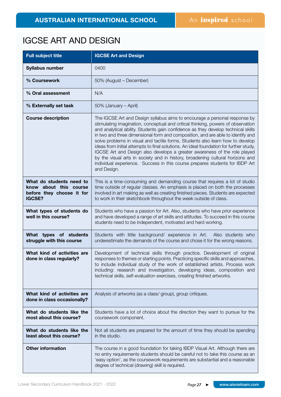### <span id="page-26-0"></span>IGCSE ART AND DESIGN

| <b>Full subject title</b>                                                                        | <b>IGCSE Art and Design</b>                                                                                                                                                                                                                                                                                                                                                                                                                                                                                                                                                                                                                                                                                                                                                      |
|--------------------------------------------------------------------------------------------------|----------------------------------------------------------------------------------------------------------------------------------------------------------------------------------------------------------------------------------------------------------------------------------------------------------------------------------------------------------------------------------------------------------------------------------------------------------------------------------------------------------------------------------------------------------------------------------------------------------------------------------------------------------------------------------------------------------------------------------------------------------------------------------|
| <b>Syllabus number</b>                                                                           | 0400                                                                                                                                                                                                                                                                                                                                                                                                                                                                                                                                                                                                                                                                                                                                                                             |
| % Coursework                                                                                     | 50% (August – December)                                                                                                                                                                                                                                                                                                                                                                                                                                                                                                                                                                                                                                                                                                                                                          |
| % Oral assessment                                                                                | N/A                                                                                                                                                                                                                                                                                                                                                                                                                                                                                                                                                                                                                                                                                                                                                                              |
| % Externally set task                                                                            | 50% (January – April)                                                                                                                                                                                                                                                                                                                                                                                                                                                                                                                                                                                                                                                                                                                                                            |
| <b>Course description</b>                                                                        | The IGCSE Art and Design syllabus aims to encourage a personal response by<br>stimulating imagination, conceptual and critical thinking, powers of observation<br>and analytical ability. Students gain confidence as they develop technical skills<br>in two and three dimensional form and composition, and are able to identify and<br>solve problems in visual and tactile forms. Students also learn how to develop<br>ideas from initial attempts to final solutions. An ideal foundation for further study,<br>IGCSE Art and Design also develops a greater awareness of the role played<br>by the visual arts in society and in history, broadening cultural horizons and<br>individual experience. Success in this course prepares students for IBDP Art<br>and Design. |
| What do students need to<br>know about this course<br>before they choose it for<br><b>IGCSE?</b> | This is a time-consuming and demanding course that requires a lot of studio<br>time outside of regular classes. An emphasis is placed on both the processes<br>involved in art making as well as creating finished pieces. Students are expected<br>to work in their sketchbook throughout the week outside of class.                                                                                                                                                                                                                                                                                                                                                                                                                                                            |
| What types of students do<br>well in this course?                                                | Students who have a passion for Art. Also, students who have prior experience<br>and have developed a range of art skills and attitudes. To succeed in this course<br>students need to be independent, motivated and hard working.                                                                                                                                                                                                                                                                                                                                                                                                                                                                                                                                               |
| What types of students<br>struggle with this course                                              | Students with little background/ experience in Art. Also students who<br>underestimate the demands of the course and chose it for the wrong reasons.                                                                                                                                                                                                                                                                                                                                                                                                                                                                                                                                                                                                                             |
| What kind of activities are<br>done in class regularly?                                          | Development of technical skills through practice. Development of original<br>responses to themes or starting points. Practicing specific skills and approaches,<br>to include individual study of the work of established artists. Process work<br>including: research and investigation, developing ideas, composition and<br>technical skills, self-evaluation exercises, creating finished artworks.                                                                                                                                                                                                                                                                                                                                                                          |
| What kind of activities are<br>done in class occasionally?                                       | Analysis of artworks (as a class/group), group critiques.                                                                                                                                                                                                                                                                                                                                                                                                                                                                                                                                                                                                                                                                                                                        |
| What do students like the<br>most about this course?                                             | Students have a lot of choice about the direction they want to pursue for the<br>coursework component.                                                                                                                                                                                                                                                                                                                                                                                                                                                                                                                                                                                                                                                                           |
| What do students like the<br>least about this course?                                            | Not all students are prepared for the amount of time they should be spending<br>in the studio.                                                                                                                                                                                                                                                                                                                                                                                                                                                                                                                                                                                                                                                                                   |
| <b>Other information</b>                                                                         | The course in a good foundation for taking IBDP Visual Art. Although there are<br>no entry requirements students should be careful not to take this course as an<br>'easy option', as the coursework requirements are substantial and a reasonable<br>degree of technical (drawing) skill is required.                                                                                                                                                                                                                                                                                                                                                                                                                                                                           |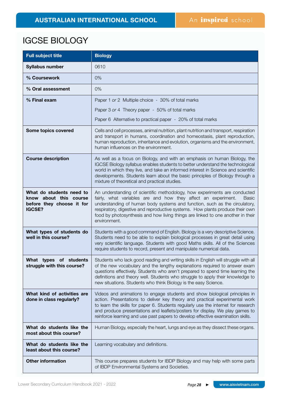### <span id="page-27-0"></span>IGCSE BIOLOGY

| <b>Full subject title</b>                                                                        | <b>Biology</b>                                                                                                                                                                                                                                                                                                                                                                                                               |
|--------------------------------------------------------------------------------------------------|------------------------------------------------------------------------------------------------------------------------------------------------------------------------------------------------------------------------------------------------------------------------------------------------------------------------------------------------------------------------------------------------------------------------------|
| <b>Syllabus number</b>                                                                           | 0610                                                                                                                                                                                                                                                                                                                                                                                                                         |
| % Coursework                                                                                     | 0%                                                                                                                                                                                                                                                                                                                                                                                                                           |
| % Oral assessment                                                                                | 0%                                                                                                                                                                                                                                                                                                                                                                                                                           |
| % Final exam                                                                                     | Paper 1 or 2 Multiple choice - 30% of total marks                                                                                                                                                                                                                                                                                                                                                                            |
|                                                                                                  | Paper 3 or 4 Theory paper - 50% of total marks                                                                                                                                                                                                                                                                                                                                                                               |
|                                                                                                  | Paper 6 Alternative to practical paper - 20% of total marks                                                                                                                                                                                                                                                                                                                                                                  |
| Some topics covered                                                                              | Cells and cell processes, animal nutrition, plant nutrition and transport, respiration<br>and transport in humans, coordination and homeostasis, plant reproduction,<br>human reproduction, inheritance and evolution, organisms and the environment,<br>human influences on the environment.                                                                                                                                |
| <b>Course description</b>                                                                        | As well as a focus on Biology, and with an emphasis on human Biology, the<br>IGCSE Biology syllabus enables students to better understand the technological<br>world in which they live, and take an informed interest in Science and scientific<br>developments. Students learn about the basic principles of Biology through a<br>mixture of theoretical and practical studies.                                            |
| What do students need to<br>know about this course<br>before they choose it for<br><b>IGCSE?</b> | An understanding of scientific methodology, how experiments are conducted<br>fairly, what variables are and how they affect an experiment.<br><b>Basic</b><br>understanding of human body systems and function, such as the circulatory,<br>respiratory, digestive and reproductive systems. How plants produce their own<br>food by photosynthesis and how living things are linked to one another in their<br>environment. |
| What types of students do<br>well in this course?                                                | Students with a good command of English. Biology is a very descriptive Science.<br>Students need to be able to explain biological processes in great detail using<br>very scientific language. Students with good Maths skills. All of the Sciences<br>require students to record, present and manipulate numerical data.                                                                                                    |
| What types<br>of students<br>struggle with this course?                                          | Students who lack good reading and writing skills in English will struggle with all<br>of the new vocabulary and the lengthy explanations required to answer exam<br>questions effectively. Students who aren't prepared to spend time learning the<br>definitions and theory well. Students who struggle to apply their knowledge to<br>new situations. Students who think Biology is the easy Science.                     |
| What kind of activities are<br>done in class regularly?                                          | Videos and animations to engage students and show biological principles in<br>action. Presentations to deliver key theory and practical experimental work<br>to learn the skills for paper 6. Students regularly use the internet for research<br>and produce presentations and leaflets/posters for display. We play games to<br>reinforce learning and use past papers to develop effective examination skills.            |
| What do students like the<br>most about this course?                                             | Human Biology, especially the heart, lungs and eye as they dissect these organs.                                                                                                                                                                                                                                                                                                                                             |
| What do students like the<br>least about this course?                                            | Learning vocabulary and definitions.                                                                                                                                                                                                                                                                                                                                                                                         |
| <b>Other information</b>                                                                         | This course prepares students for IBDP Biology and may help with some parts<br>of IBDP Environmental Systems and Societies.                                                                                                                                                                                                                                                                                                  |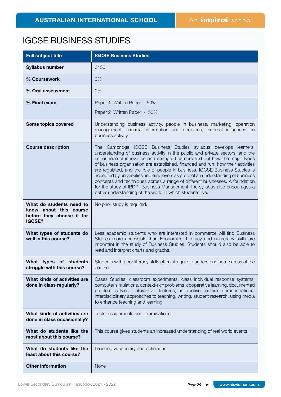### <span id="page-28-0"></span>IGCSE BUSINESS STUDIES

| <b>Full subject title</b>                                                                        | <b>IGCSE Business Studies</b>                                                                                                                                                                                                                                                                                                                                                                                                                                                                                                                                                                                                                                                                                    |
|--------------------------------------------------------------------------------------------------|------------------------------------------------------------------------------------------------------------------------------------------------------------------------------------------------------------------------------------------------------------------------------------------------------------------------------------------------------------------------------------------------------------------------------------------------------------------------------------------------------------------------------------------------------------------------------------------------------------------------------------------------------------------------------------------------------------------|
| <b>Syllabus number</b>                                                                           | 0450                                                                                                                                                                                                                                                                                                                                                                                                                                                                                                                                                                                                                                                                                                             |
| % Coursework                                                                                     | 0%                                                                                                                                                                                                                                                                                                                                                                                                                                                                                                                                                                                                                                                                                                               |
| % Oral assessment                                                                                | 0%                                                                                                                                                                                                                                                                                                                                                                                                                                                                                                                                                                                                                                                                                                               |
| % Final exam                                                                                     | Paper 1 Written Paper - 50%                                                                                                                                                                                                                                                                                                                                                                                                                                                                                                                                                                                                                                                                                      |
|                                                                                                  | Paper 2 Written Paper - 50%                                                                                                                                                                                                                                                                                                                                                                                                                                                                                                                                                                                                                                                                                      |
| Some topics covered                                                                              | Understanding business activity, people in business, marketing, operation<br>management, financial information and decisions, external influences on<br>business activity.                                                                                                                                                                                                                                                                                                                                                                                                                                                                                                                                       |
| <b>Course description</b>                                                                        | The Cambridge IGCSE Business Studies syllabus develops learners'<br>understanding of business activity in the public and private sectors, and the<br>importance of innovation and change. Learners find out how the major types<br>of business organisation are established, financed and run, how their activities<br>are regulated, and the role of people in business. IGCSE Business Studies is<br>accepted by universities and employers as proof of an understanding of business<br>concepts and techniques across a range of different businesses. A foundation<br>for the study of IBDP Business Management, the syllabus also encourages a<br>better understanding of the world in which students live. |
| What do students need to<br>know about this course<br>before they choose it for<br><b>IGCSE?</b> | No prior study is required.                                                                                                                                                                                                                                                                                                                                                                                                                                                                                                                                                                                                                                                                                      |
| What types of students do<br>well in this course?                                                | Less academic students who are interested in commerce will find Business<br>Studies more accessible than Economics. Literacy and numeracy skills are<br>important in the study of Business Studies. Students should also be able to<br>read and interpret charts and graphs.                                                                                                                                                                                                                                                                                                                                                                                                                                     |
| What types of students<br>struggle with this course?                                             | Students with poor literacy skills often struggle to understand some areas of the<br>course.                                                                                                                                                                                                                                                                                                                                                                                                                                                                                                                                                                                                                     |
| What kinds of activities are<br>done in class regularly?                                         | Cases Studies, classroom experiments, class individual response systems,<br>computer simulations, context-rich problems, cooperative learning, documented<br>problem solving, interactive lectures, interactive lecture demonstrations,<br>interdisciplinary approaches to teaching, writing, student research, using media<br>to enhance teaching and learning.                                                                                                                                                                                                                                                                                                                                                 |
| What kinds of activities are<br>done in class occasionally?                                      | Tests, assignments and examinations                                                                                                                                                                                                                                                                                                                                                                                                                                                                                                                                                                                                                                                                              |
| What do students like the<br>most about this course?                                             | This course gives students an increased understanding of real world events.                                                                                                                                                                                                                                                                                                                                                                                                                                                                                                                                                                                                                                      |
| What do students like the<br>least about this course?                                            | Learning vocabulary and definitions.                                                                                                                                                                                                                                                                                                                                                                                                                                                                                                                                                                                                                                                                             |
| <b>Other information</b>                                                                         | None                                                                                                                                                                                                                                                                                                                                                                                                                                                                                                                                                                                                                                                                                                             |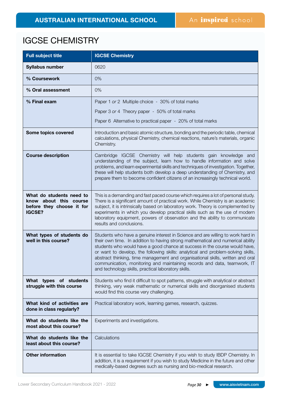### <span id="page-29-0"></span>IGCSE CHEMISTRY

| <b>Full subject title</b>                                                                        | <b>IGCSE Chemistry</b>                                                                                                                                                                                                                                                                                                                                                                                                                                                                                                                                    |
|--------------------------------------------------------------------------------------------------|-----------------------------------------------------------------------------------------------------------------------------------------------------------------------------------------------------------------------------------------------------------------------------------------------------------------------------------------------------------------------------------------------------------------------------------------------------------------------------------------------------------------------------------------------------------|
| <b>Syllabus number</b>                                                                           | 0620                                                                                                                                                                                                                                                                                                                                                                                                                                                                                                                                                      |
| % Coursework                                                                                     | 0%                                                                                                                                                                                                                                                                                                                                                                                                                                                                                                                                                        |
| % Oral assessment                                                                                | 0%                                                                                                                                                                                                                                                                                                                                                                                                                                                                                                                                                        |
| % Final exam                                                                                     | Paper 1 or 2 Multiple choice - 30% of total marks                                                                                                                                                                                                                                                                                                                                                                                                                                                                                                         |
|                                                                                                  | Paper 3 or 4 Theory paper - 50% of total marks                                                                                                                                                                                                                                                                                                                                                                                                                                                                                                            |
|                                                                                                  | Paper 6 Alternative to practical paper - 20% of total marks                                                                                                                                                                                                                                                                                                                                                                                                                                                                                               |
| Some topics covered                                                                              | Introduction and basic atomic structure, bonding and the periodic table, chemical<br>calculations, physical Chemistry, chemical reactions, nature's materials, organic<br>Chemistry.                                                                                                                                                                                                                                                                                                                                                                      |
| <b>Course description</b>                                                                        | Cambridge IGCSE Chemistry will help students gain knowledge and<br>understanding of the subject, learn how to handle information and solve<br>problems, and learn experimental skills and techniques of investigation. Together,<br>these will help students both develop a deep understanding of Chemistry, and<br>prepare them to become confident citizens of an increasingly technical world.                                                                                                                                                         |
| What do students need to<br>know about this course<br>before they choose it for<br><b>IGCSE?</b> | This is a demanding and fast paced course which requires a lot of personal study.<br>There is a significant amount of practical work. While Chemistry is an academic<br>subject, it is intrinsically based on laboratory work. Theory is complemented by<br>experiments in which you develop practical skills such as the use of modern<br>laboratory equipment, powers of observation and the ability to communicate<br>results and conclusions.                                                                                                         |
| What types of students do<br>well in this course?                                                | Students who have a genuine interest in Science and are willing to work hard in<br>their own time. In addition to having strong mathematical and numerical ability<br>students who would have a good chance at success in the course would have,<br>or want to develop, the following skills: analytical and problem-solving skills,<br>abstract thinking, time management and organisational skills, written and oral<br>communication, monitoring and maintaining records and data, teamwork, IT<br>and technology skills, practical laboratory skills. |
| What types of students<br>struggle with this course                                              | Students who find it difficult to spot patterns, struggle with analytical or abstract<br>thinking, very weak mathematic or numerical skills and disorganised students<br>would find this course very challenging.                                                                                                                                                                                                                                                                                                                                         |
| What kind of activities are<br>done in class regularly?                                          | Practical laboratory work, learning games, research, quizzes.                                                                                                                                                                                                                                                                                                                                                                                                                                                                                             |
| What do students like the<br>most about this course?                                             | Experiments and investigations.                                                                                                                                                                                                                                                                                                                                                                                                                                                                                                                           |
| What do students like the<br>least about this course?                                            | Calculations                                                                                                                                                                                                                                                                                                                                                                                                                                                                                                                                              |
| <b>Other information</b>                                                                         | It is essential to take IGCSE Chemistry if you wish to study IBDP Chemistry. In<br>addition, it is a requirement if you wish to study Medicine in the future and other<br>medically-based degrees such as nursing and bio-medical research.                                                                                                                                                                                                                                                                                                               |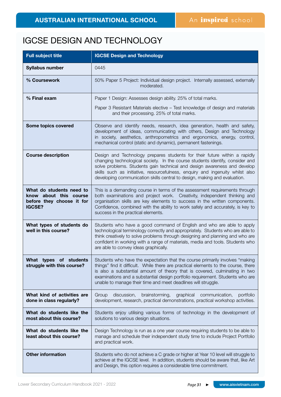### <span id="page-30-0"></span>IGCSE DESIGN AND TECHNOLOGY

| <b>Full subject title</b>                                                                        | <b>IGCSE Design and Technology</b>                                                                                                                                                                                                                                                                                                                                                                   |
|--------------------------------------------------------------------------------------------------|------------------------------------------------------------------------------------------------------------------------------------------------------------------------------------------------------------------------------------------------------------------------------------------------------------------------------------------------------------------------------------------------------|
| <b>Syllabus number</b>                                                                           | 0445                                                                                                                                                                                                                                                                                                                                                                                                 |
| % Coursework                                                                                     | 50% Paper 5 Project: Individual design project. Internally assessed, externally<br>moderated.                                                                                                                                                                                                                                                                                                        |
| % Final exam                                                                                     | Paper 1 Design: Assesses design ability. 25% of total marks.<br>Paper 3 Resistant Materials elective - Test knowledge of design and materials<br>and their processing. 25% of total marks.                                                                                                                                                                                                           |
| Some topics covered                                                                              | Observe and identify needs, research, idea generation, health and safety,<br>development of ideas, communicating with others, Design and Technology<br>in society, aesthetics, anthropometrics and ergonomics, energy, control,<br>mechanical control (static and dynamic), permanent fastenings.                                                                                                    |
| <b>Course description</b>                                                                        | Design and Technology prepares students for their future within a rapidly<br>changing technological society. In the course students identify, consider and<br>solve problems. Students gain technical and design awareness and develop<br>skills such as initiative, resourcefulness, enquiry and ingenuity whilst also<br>developing communication skills central to design, making and evaluation. |
| What do students need to<br>know about this course<br>before they choose it for<br><b>IGCSE?</b> | This is a demanding course in terms of the assessment requirements through<br>both examinations and project work. Creativity, independent thinking and<br>organisation skills are key elements to success in the written components.<br>Confidence, combined with the ability to work safely and accurately, is key to<br>success in the practical elements.                                         |
| What types of students do<br>well in this course?                                                | Students who have a good command of English and who are able to apply<br>technological terminology correctly and appropriately. Students who are able to<br>think creatively to solve problems through designing and planning and who are<br>confident in working with a range of materials, media and tools. Students who<br>are able to convey ideas graphically.                                  |
| What types<br>of students<br>struggle with this course?                                          | Students who have the expectation that the course primarily involves "making<br>things" find it difficult. While there are practical elements to the course, there<br>is also a substantial amount of theory that is covered, culminating in two<br>examinations and a substantial design portfolio requirement. Students who are<br>unable to manage their time and meet deadlines will struggle.   |
| What kind of activities are<br>done in class regularly?                                          | discussion,<br>brainstorming,<br>graphical<br>portfolio<br>communication,<br>Group<br>development, research, practical demonstrations, practical workshop activities.                                                                                                                                                                                                                                |
| What do students like the<br>most about this course?                                             | Students enjoy utilising various forms of technology in the development of<br>solutions to various design situations.                                                                                                                                                                                                                                                                                |
| What do students like the<br>least about this course?                                            | Design Technology is run as a one year course requiring students to be able to<br>manage and schedule their independent study time to include Project Portfolio<br>and practical work.                                                                                                                                                                                                               |
| <b>Other information</b>                                                                         | Students who do not achieve a C grade or higher at Year 10 level will struggle to<br>achieve at the IGCSE level. In addition, students should be aware that, like Art<br>and Design, this option requires a considerable time commitment.                                                                                                                                                            |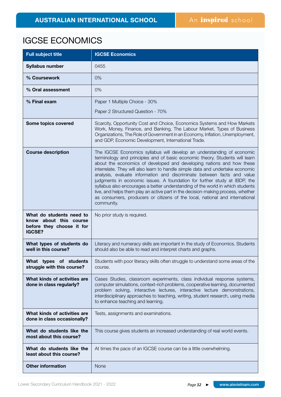### <span id="page-31-0"></span>IGCSE ECONOMICS

| <b>Full subject title</b>                                                                        | <b>IGCSE Economics</b>                                                                                                                                                                                                                                                                                                                                                                                                                                                                                                                                                                                                                                                                                                                        |
|--------------------------------------------------------------------------------------------------|-----------------------------------------------------------------------------------------------------------------------------------------------------------------------------------------------------------------------------------------------------------------------------------------------------------------------------------------------------------------------------------------------------------------------------------------------------------------------------------------------------------------------------------------------------------------------------------------------------------------------------------------------------------------------------------------------------------------------------------------------|
| <b>Syllabus number</b>                                                                           | 0455                                                                                                                                                                                                                                                                                                                                                                                                                                                                                                                                                                                                                                                                                                                                          |
| % Coursework                                                                                     | 0%                                                                                                                                                                                                                                                                                                                                                                                                                                                                                                                                                                                                                                                                                                                                            |
| % Oral assessment                                                                                | 0%                                                                                                                                                                                                                                                                                                                                                                                                                                                                                                                                                                                                                                                                                                                                            |
| % Final exam                                                                                     | Paper 1 Multiple Choice - 30%                                                                                                                                                                                                                                                                                                                                                                                                                                                                                                                                                                                                                                                                                                                 |
|                                                                                                  | Paper 2 Structured Question - 70%                                                                                                                                                                                                                                                                                                                                                                                                                                                                                                                                                                                                                                                                                                             |
| Some topics covered                                                                              | Scarcity, Opportunity Cost and Choice, Economics Systems and How Markets<br>Work, Money, Finance, and Banking, The Labour Market, Types of Business<br>Organizations, The Role of Government in an Economy, Inflation, Unemployment,<br>and GDP, Economic Development, International Trade.                                                                                                                                                                                                                                                                                                                                                                                                                                                   |
| <b>Course description</b>                                                                        | The IGCSE Economics syllabus will develop an understanding of economic<br>terminology and principles and of basic economic theory. Students will learn<br>about the economics of developed and developing nations and how these<br>interrelate. They will also learn to handle simple data and undertake economic<br>analysis, evaluate information and discriminate between facts and value<br>judgments in economic issues. A foundation for further study at IBDP, the<br>syllabus also encourages a better understanding of the world in which students<br>live, and helps them play an active part in the decision-making process, whether<br>as consumers, producers or citizens of the local, national and international<br>community. |
| What do students need to<br>know about this course<br>before they choose it for<br><b>IGCSE?</b> | No prior study is required.                                                                                                                                                                                                                                                                                                                                                                                                                                                                                                                                                                                                                                                                                                                   |
| What types of students do<br>well in this course?                                                | Literacy and numeracy skills are important in the study of Economics. Students<br>should also be able to read and interpret charts and graphs.                                                                                                                                                                                                                                                                                                                                                                                                                                                                                                                                                                                                |
| What types of students<br>struggle with this course?                                             | Students with poor literacy skills often struggle to understand some areas of the<br>course.                                                                                                                                                                                                                                                                                                                                                                                                                                                                                                                                                                                                                                                  |
| What kinds of activities are<br>done in class regularly?                                         | Cases Studies, classroom experiments, class individual response systems,<br>computer simulations, context-rich problems, cooperative learning, documented<br>problem solving, interactive lectures, interactive lecture demonstrations,<br>interdisciplinary approaches to teaching, writing, student research, using media<br>to enhance teaching and learning.                                                                                                                                                                                                                                                                                                                                                                              |
| What kinds of activities are<br>done in class occasionally?                                      | Tests, assignments and examinations.                                                                                                                                                                                                                                                                                                                                                                                                                                                                                                                                                                                                                                                                                                          |
| What do students like the<br>most about this course?                                             | This course gives students an increased understanding of real world events.                                                                                                                                                                                                                                                                                                                                                                                                                                                                                                                                                                                                                                                                   |
| What do students like the<br>least about this course?                                            | At times the pace of an IGCSE course can be a little overwhelming.                                                                                                                                                                                                                                                                                                                                                                                                                                                                                                                                                                                                                                                                            |
| <b>Other information</b>                                                                         | None                                                                                                                                                                                                                                                                                                                                                                                                                                                                                                                                                                                                                                                                                                                                          |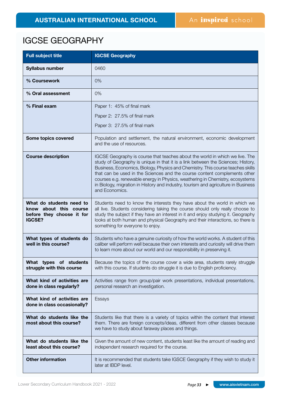### <span id="page-32-0"></span>IGCSE GEOGRAPHY

| <b>Full subject title</b>                                                                        | <b>IGCSE Geography</b>                                                                                                                                                                                                                                                                                                                                                                                                                                                                                                    |
|--------------------------------------------------------------------------------------------------|---------------------------------------------------------------------------------------------------------------------------------------------------------------------------------------------------------------------------------------------------------------------------------------------------------------------------------------------------------------------------------------------------------------------------------------------------------------------------------------------------------------------------|
| <b>Syllabus number</b>                                                                           | 0460                                                                                                                                                                                                                                                                                                                                                                                                                                                                                                                      |
| % Coursework                                                                                     | 0%                                                                                                                                                                                                                                                                                                                                                                                                                                                                                                                        |
| % Oral assessment                                                                                | $0\%$                                                                                                                                                                                                                                                                                                                                                                                                                                                                                                                     |
| % Final exam                                                                                     | Paper 1: 45% of final mark                                                                                                                                                                                                                                                                                                                                                                                                                                                                                                |
|                                                                                                  | Paper 2: 27.5% of final mark                                                                                                                                                                                                                                                                                                                                                                                                                                                                                              |
|                                                                                                  | Paper 3: 27.5% of final mark                                                                                                                                                                                                                                                                                                                                                                                                                                                                                              |
| Some topics covered                                                                              | Population and settlement, the natural environment, economic development<br>and the use of resources.                                                                                                                                                                                                                                                                                                                                                                                                                     |
| <b>Course description</b>                                                                        | IGCSE Geography is course that teaches about the world in which we live. The<br>study of Geography is unique in that it is a link between the Sciences; History,<br>Business, Economics, Biology, Physics and Chemistry. This course teaches skills<br>that can be used in the Sciences and the course content complements other<br>courses e.g. renewable energy in Physics, weathering in Chemistry, ecosystems<br>in Biology, migration in History and industry, tourism and agriculture in Business<br>and Economics. |
| What do students need to<br>know about this course<br>before they choose it for<br><b>IGCSE?</b> | Students need to know the interests they have about the world in which we<br>all live. Students considering taking the course should only really choose to<br>study the subject if they have an interest in it and enjoy studying it. Geography<br>looks at both human and physical Geography and their interactions, so there is<br>something for everyone to enjoy.                                                                                                                                                     |
| What types of students do<br>well in this course?                                                | Students who have a genuine curiosity of how the world works. A student of this<br>caliber will perform well because their own interests and curiosity will drive them<br>to learn more about our world and our responsibility in preserving it.                                                                                                                                                                                                                                                                          |
| What types of students<br>struggle with this course                                              | Because the topics of the course cover a wide area, students rarely struggle<br>with this course. If students do struggle it is due to English proficiency.                                                                                                                                                                                                                                                                                                                                                               |
| What kind of activities are<br>done in class regularly?                                          | Activities range from group/pair work presentations, individual presentations,<br>personal research an investigation.                                                                                                                                                                                                                                                                                                                                                                                                     |
| What kind of activities are<br>done in class occasionally?                                       | Essays                                                                                                                                                                                                                                                                                                                                                                                                                                                                                                                    |
| What do students like the<br>most about this course?                                             | Students like that there is a variety of topics within the content that interest<br>them. There are foreign concepts/ideas, different from other classes because<br>we have to study about faraway places and things.                                                                                                                                                                                                                                                                                                     |
| What do students like the<br>least about this course?                                            | Given the amount of new content, students least like the amount of reading and<br>independent research required for the course.                                                                                                                                                                                                                                                                                                                                                                                           |
| <b>Other information</b>                                                                         | It is recommended that students take IGSCE Geography if they wish to study it<br>later at IBDP level.                                                                                                                                                                                                                                                                                                                                                                                                                     |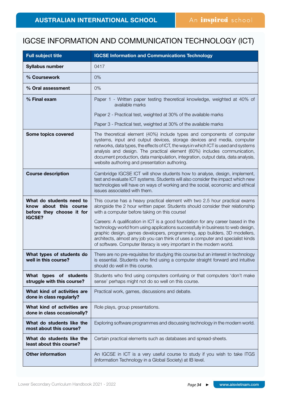### <span id="page-33-0"></span>IGCSE INFORMATION AND COMMUNICATION TECHNOLOGY (ICT)

| <b>Full subject title</b>                                                                        | <b>IGCSE Information and Communications Technology</b>                                                                                                                                                                                                                                                                                                                                                                                                                                                                                                                                                                             |
|--------------------------------------------------------------------------------------------------|------------------------------------------------------------------------------------------------------------------------------------------------------------------------------------------------------------------------------------------------------------------------------------------------------------------------------------------------------------------------------------------------------------------------------------------------------------------------------------------------------------------------------------------------------------------------------------------------------------------------------------|
| <b>Syllabus number</b>                                                                           | 0417                                                                                                                                                                                                                                                                                                                                                                                                                                                                                                                                                                                                                               |
| % Coursework                                                                                     | 0%                                                                                                                                                                                                                                                                                                                                                                                                                                                                                                                                                                                                                                 |
| % Oral assessment                                                                                | 0%                                                                                                                                                                                                                                                                                                                                                                                                                                                                                                                                                                                                                                 |
| % Final exam                                                                                     | Paper 1 - Written paper testing theoretical knowledge, weighted at 40% of<br>available marks                                                                                                                                                                                                                                                                                                                                                                                                                                                                                                                                       |
|                                                                                                  | Paper 2 - Practical test, weighted at 30% of the available marks                                                                                                                                                                                                                                                                                                                                                                                                                                                                                                                                                                   |
|                                                                                                  | Paper 3 - Practical test, weighted at 30% of the available marks                                                                                                                                                                                                                                                                                                                                                                                                                                                                                                                                                                   |
| Some topics covered                                                                              | The theoretical element (40%) include types and components of computer<br>systems, input and output devices, storage devices and media, computer<br>networks, data types, the effects of ICT, the ways in which ICT is used and systems<br>analysis and design. The practical element (60%) includes communication,<br>document production, data manipulation, integration, output data, data analysis,<br>website authoring and presentation authoring.                                                                                                                                                                           |
| <b>Course description</b>                                                                        | Cambridge IGCSE ICT will show students how to analyse, design, implement,<br>test and evaluate ICT systems. Students will also consider the impact which new<br>technologies will have on ways of working and the social, economic and ethical<br>issues associated with them.                                                                                                                                                                                                                                                                                                                                                     |
| What do students need to<br>know about this course<br>before they choose it for<br><b>IGCSE?</b> | This course has a heavy practical element with two 2.5 hour practical exams<br>alongside the 2 hour written paper. Students should consider their relationship<br>with a computer before taking on this course!<br>Careers: A qualification in ICT is a good foundation for any career based in the<br>technology world from using applications successfully in business to web design,<br>graphic design, games developers, programming, app builders, 3D modellers,<br>architects, almost any job you can think of uses a computer and specialist kinds<br>of software. Computer literacy is very important in the modern world. |
| What types of students do<br>well in this course?                                                | There are no pre-requisites for studying this course but an interest in technology<br>is essential. Students who find using a computer straight forward and intuitive<br>should do well in this course.                                                                                                                                                                                                                                                                                                                                                                                                                            |
| What types of students<br>struggle with this course?                                             | Students who find using computers confusing or that computers 'don't make<br>sense' perhaps might not do so well on this course.                                                                                                                                                                                                                                                                                                                                                                                                                                                                                                   |
| What kind of activities are<br>done in class regularly?                                          | Practical work, games, discussions and debate.                                                                                                                                                                                                                                                                                                                                                                                                                                                                                                                                                                                     |
| What kind of activities are<br>done in class occasionally?                                       | Role plays, group presentations.                                                                                                                                                                                                                                                                                                                                                                                                                                                                                                                                                                                                   |
| What do students like the<br>most about this course?                                             | Exploring software programmes and discussing technology in the modern world.                                                                                                                                                                                                                                                                                                                                                                                                                                                                                                                                                       |
| What do students like the<br>least about this course?                                            | Certain practical elements such as databases and spread-sheets.                                                                                                                                                                                                                                                                                                                                                                                                                                                                                                                                                                    |
| <b>Other information</b>                                                                         | An IGCSE in ICT is a very useful course to study if you wish to take ITGS<br>(Information Technology in a Global Society) at IB level.                                                                                                                                                                                                                                                                                                                                                                                                                                                                                             |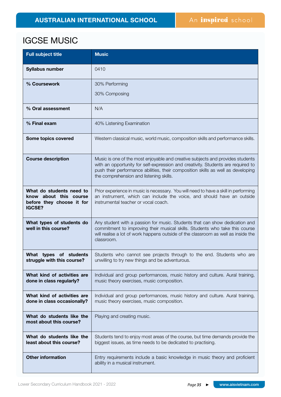### <span id="page-34-0"></span>IGCSE MUSIC

| <b>Full subject title</b>                                                                        | <b>Music</b>                                                                                                                                                                                                                                                                                      |
|--------------------------------------------------------------------------------------------------|---------------------------------------------------------------------------------------------------------------------------------------------------------------------------------------------------------------------------------------------------------------------------------------------------|
| <b>Syllabus number</b>                                                                           | 0410                                                                                                                                                                                                                                                                                              |
| % Coursework                                                                                     | 30% Performing<br>30% Composing                                                                                                                                                                                                                                                                   |
| % Oral assessment                                                                                | N/A                                                                                                                                                                                                                                                                                               |
| % Final exam                                                                                     | 40% Listening Examination                                                                                                                                                                                                                                                                         |
| Some topics covered                                                                              | Western classical music, world music, composition skills and performance skills.                                                                                                                                                                                                                  |
| <b>Course description</b>                                                                        | Music is one of the most enjoyable and creative subjects and provides students<br>with an opportunity for self-expression and creativity. Students are required to<br>push their performance abilities, their composition skills as well as developing<br>the comprehension and listening skills. |
| What do students need to<br>know about this course<br>before they choose it for<br><b>IGCSE?</b> | Prior experience in music is necessary. You will need to have a skill in performing<br>an instrument, which can include the voice, and should have an outside<br>instrumental teacher or vocal coach.                                                                                             |
| What types of students do<br>well in this course?                                                | Any student with a passion for music. Students that can show dedication and<br>commitment to improving their musical skills. Students who take this course<br>will realise a lot of work happens outside of the classroom as well as inside the<br>classroom.                                     |
| What types of students<br>struggle with this course?                                             | Students who cannot see projects through to the end. Students who are<br>unwilling to try new things and be adventurous.                                                                                                                                                                          |
| What kind of activities are<br>done in class regularly?                                          | Individual and group performances, music history and culture. Aural training,<br>music theory exercises, music composition.                                                                                                                                                                       |
| What kind of activities are<br>done in class occasionally?                                       | Individual and group performances, music history and culture. Aural training,<br>music theory exercises, music composition.                                                                                                                                                                       |
| What do students like the<br>most about this course?                                             | Playing and creating music.                                                                                                                                                                                                                                                                       |
| What do students like the<br>least about this course?                                            | Students tend to enjoy most areas of the course, but time demands provide the<br>biggest issues, as time needs to be dedicated to practising.                                                                                                                                                     |
| <b>Other information</b>                                                                         | Entry requirements include a basic knowledge in music theory and proficient<br>ability in a musical instrument.                                                                                                                                                                                   |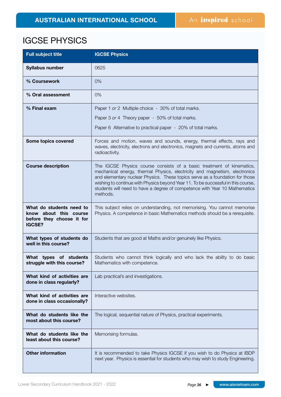### <span id="page-35-0"></span>IGCSE PHYSICS

| <b>Full subject title</b>                                                                        | <b>IGCSE Physics</b>                                                                                                                                                                                                                                                                                                                                                                                               |
|--------------------------------------------------------------------------------------------------|--------------------------------------------------------------------------------------------------------------------------------------------------------------------------------------------------------------------------------------------------------------------------------------------------------------------------------------------------------------------------------------------------------------------|
| <b>Syllabus number</b>                                                                           | 0625                                                                                                                                                                                                                                                                                                                                                                                                               |
| % Coursework                                                                                     | 0%                                                                                                                                                                                                                                                                                                                                                                                                                 |
| % Oral assessment                                                                                | 0%                                                                                                                                                                                                                                                                                                                                                                                                                 |
| % Final exam                                                                                     | Paper 1 or 2 Multiple choice - 30% of total marks.                                                                                                                                                                                                                                                                                                                                                                 |
|                                                                                                  | Paper 3 or 4 Theory paper - 50% of total marks.                                                                                                                                                                                                                                                                                                                                                                    |
|                                                                                                  | Paper 6 Alternative to practical paper - 20% of total marks.                                                                                                                                                                                                                                                                                                                                                       |
| Some topics covered                                                                              | Forces and motion, waves and sounds, energy, thermal effects, rays and<br>waves, electricity, electrons and electronics, magnets and currents, atoms and<br>radioactivity.                                                                                                                                                                                                                                         |
| <b>Course description</b>                                                                        | The IGCSE Physics course consists of a basic treatment of kinematics,<br>mechanical energy, thermal Physics, electricity and magnetism, electronics<br>and elementary nuclear Physics. These topics serve as a foundation for those<br>wishing to continue with Physics beyond Year 11. To be successful in this course,<br>students will need to have a degree of competence with Year 10 Mathematics<br>methods. |
| What do students need to<br>know about this course<br>before they choose it for<br><b>IGCSE?</b> | This subject relies on understanding, not memorising. You cannot memorise<br>Physics. A competence in basic Mathematics methods should be a rerequisite.                                                                                                                                                                                                                                                           |
| What types of students do<br>well in this course?                                                | Students that are good at Maths and/or genuinely like Physics.                                                                                                                                                                                                                                                                                                                                                     |
| What types of students<br>struggle with this course?                                             | Students who cannot think logically and who lack the ability to do basic<br>Mathematics with competence.                                                                                                                                                                                                                                                                                                           |
| What kind of activities are<br>done in class regularly?                                          | Lab practical's and investigations.                                                                                                                                                                                                                                                                                                                                                                                |
| What kind of activities are<br>done in class occasionally?                                       | Interactive websites.                                                                                                                                                                                                                                                                                                                                                                                              |
| What do students like the<br>most about this course?                                             | The logical, sequential nature of Physics, practical experiments.                                                                                                                                                                                                                                                                                                                                                  |
| What do students like the<br>least about this course?                                            | Memorising formulas.                                                                                                                                                                                                                                                                                                                                                                                               |
| <b>Other information</b>                                                                         | It is recommended to take Physics IGCSE if you wish to do Physics at IBDP<br>next year. Physics is essential for students who may wish to study Engineering.                                                                                                                                                                                                                                                       |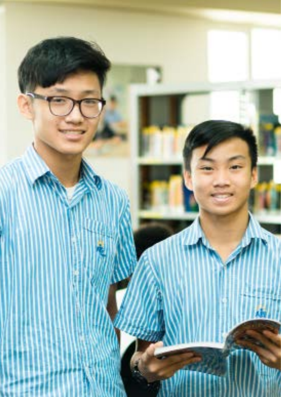